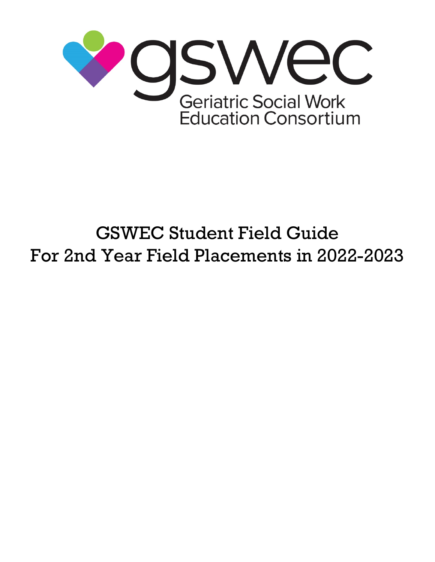

# GSWEC Student Field Guide For 2nd Year Field Placements in 2022-2023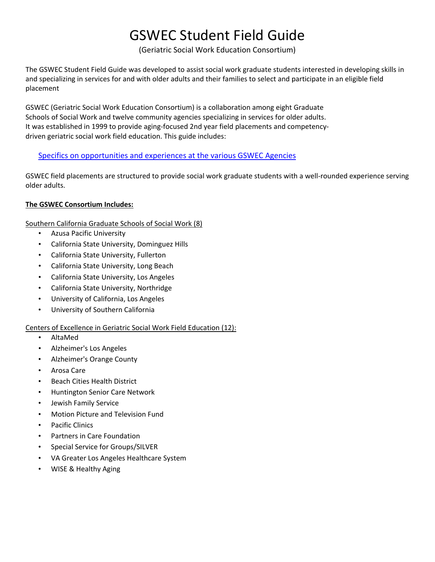## GSWEC Student Field Guide

(Geriatric Social Work Education Consortium)

The GSWEC Student Field Guide was developed to assist social work graduate students interested in developing skills in and specializing in services for and with older adults and their families to select and participate in an eligible field placement

GSWEC (Geriatric Social Work Education Consortium) is a collaboration among eight Graduate Schools of Social Work and twelve community agencies specializing in services for older adults. It was established in 1999 to provide aging-focused 2nd year field placements and competencydriven geriatric social work field education. This guide includes:

#### [Specifics on opportunities and experiences at the various GSWEC Agencies](#page-4-0)

GSWEC field placements are structured to provide social work graduate students with a well-rounded experience serving older adults.

#### **The GSWEC Consortium Includes:**

Southern California Graduate Schools of Social Work (8)

- Azusa Pacific University
- California State University, Dominguez Hills
- California State University, Fullerton
- California State University, Long Beach
- California State University, Los Angeles
- California State University, Northridge
- University of California, Los Angeles
- University of Southern California

#### Centers of Excellence in Geriatric Social Work Field Education (12):

- AltaMed
- Alzheimer's Los Angeles
- Alzheimer's Orange County
- Arosa Care
- Beach Cities Health District
- Huntington Senior Care Network
- Jewish Family Service
- Motion Picture and Television Fund
- Pacific Clinics
- Partners in Care Foundation
- Special Service for Groups/SILVER
- VA Greater Los Angeles Healthcare System
- WISE & Healthy Aging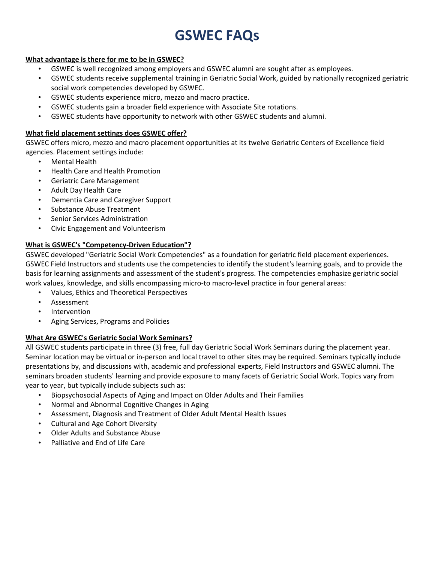## **GSWEC FAQs**

#### **What advantage is there for me to be in GSWEC?**

- GSWEC is well recognized among employers and GSWEC alumni are sought after as employees.
- GSWEC students receive supplemental training in Geriatric Social Work, guided by nationally recognized geriatric social work competencies developed by GSWEC.
- GSWEC students experience micro, mezzo and macro practice.
- GSWEC students gain a broader field experience with Associate Site rotations.
- GSWEC students have opportunity to network with other GSWEC students and alumni.

#### **What field placement settings does GSWEC offer?**

GSWEC offers micro, mezzo and macro placement opportunities at its twelve Geriatric Centers of Excellence field agencies. Placement settings include:

- Mental Health
- Health Care and Health Promotion
- Geriatric Care Management
- Adult Day Health Care
- Dementia Care and Caregiver Support
- Substance Abuse Treatment
- Senior Services Administration
- Civic Engagement and Volunteerism

#### **What is GSWEC's "Competency-Driven Education"?**

GSWEC developed "Geriatric Social Work Competencies" as a foundation for geriatric field placement experiences. GSWEC Field Instructors and students use the competencies to identify the student's learning goals, and to provide the basis for learning assignments and assessment of the student's progress. The competencies emphasize geriatric social work values, knowledge, and skills encompassing micro-to macro-level practice in four general areas:

- Values, Ethics and Theoretical Perspectives
- **Assessment**
- **Intervention**
- Aging Services, Programs and Policies

#### **What Are GSWEC's Geriatric Social Work Seminars?**

All GSWEC students participate in three (3) free, full day Geriatric Social Work Seminars during the placement year. Seminar location may be virtual or in-person and local travel to other sites may be required. Seminars typically include presentations by, and discussions with, academic and professional experts, Field Instructors and GSWEC alumni. The seminars broaden students' learning and provide exposure to many facets of Geriatric Social Work. Topics vary from year to year, but typically include subjects such as:

- Biopsychosocial Aspects of Aging and Impact on Older Adults and Their Families
- Normal and Abnormal Cognitive Changes in Aging
- Assessment, Diagnosis and Treatment of Older Adult Mental Health Issues
- Cultural and Age Cohort Diversity
- Older Adults and Substance Abuse
- Palliative and End of Life Care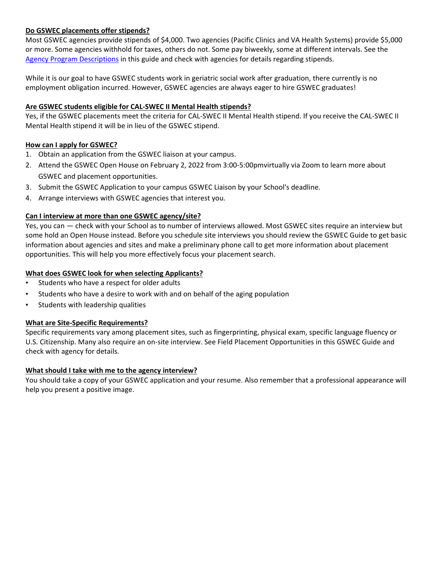#### **Do GSWEC placements offer stipends?**

Most GSWEC agencies provide stipends of \$4,000. Two agencies (Pacific Clinics and VA Health Systems) provide \$5,000 or more. Some agencies withhold for taxes, others do not. Some pay biweekly, some at different intervals. See the [Agency Program Descriptions](#page-4-0) in this guide and check with agencies for details regarding stipends.

While it is our goal to have GSWEC students work in geriatric social work after graduation, there currently is no employment obligation incurred. However, GSWEC agencies are always eager to hire GSWEC graduates!

#### **Are GSWEC students eligible for CAL-SWEC II Mental Health stipends?**

Yes, if the GSWEC placements meet the criteria for CAL-SWEC II Mental Health stipend. If you receive the CAL-SWEC II Mental Health stipend it will be in lieu of the GSWEC stipend.

#### **How can I apply for GSWEC?**

- 1. Obtain an application from the GSWEC liaison at your campus.
- 2. Attend the GSWEC Open House on February 2, 2022 from 3:00-5:00pmvirtually via Zoom to learn more about GSWEC and placement opportunities.
- 3. Submit the GSWEC Application to your campus GSWEC Liaison by your School's deadline.
- 4. Arrange interviews with GSWEC agencies that interest you.

#### **Can I interview at more than one GSWEC agency/site?**

Yes, you can — check with your School as to number of interviews allowed. Most GSWEC sites require an interview but some hold an Open House instead. Before you schedule site interviews you should review the GSWEC Guide to get basic information about agencies and sites and make a preliminary phone call to get more information about placement opportunities. This will help you more effectively focus your placement search.

#### **What does GSWEC look for when selecting Applicants?**

- Students who have a respect for older adults
- Students who have a desire to work with and on behalf of the aging population
- Students with leadership qualities

#### **What are Site-Specific Requirements?**

Specific requirements vary among placement sites, such as fingerprinting, physical exam, specific language fluency or U.S. Citizenship. Many also require an on-site interview. See Field Placement Opportunities in this GSWEC Guide and check with agency for details.

#### **What should I take with me to the agency interview?**

You should take a copy of your GSWEC application and your resume. Also remember that a professional appearance will help you present a positive image.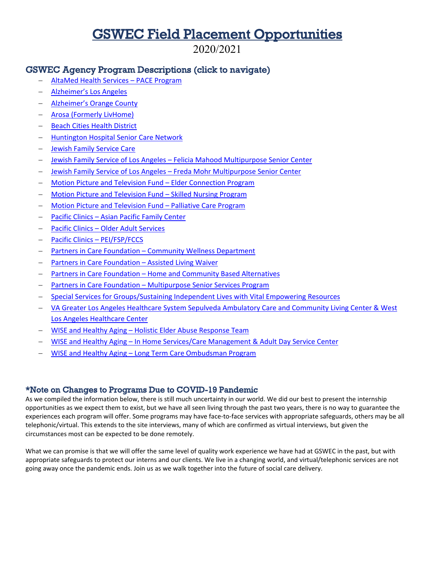### GSWEC Field Placement Opportunities

2020/2021

#### <span id="page-4-0"></span>GSWEC Agency Program Descriptions (click to navigate)

- − [AltaMed Health Services –](#page-4-1) PACE Program
- − [Alzheimer's Los Angeles](#page-7-0)
- − [Alzheimer's Orange County](#page-8-0)
- − [Arosa \(Formerly LivHome\)](#page-9-0)
- [Beach Cities Health District](#page-12-0)
- − [Huntington Hospital Senior Care Network](#page-13-0)
- − [Jewish Family Service Care](#page-15-0)
- − Jewish Family Service of Los Angeles [Felicia Mahood Multipurpose Senior Center](#page-15-1)
- − Jewish Family Service of Los Angeles [Freda Mohr Multipurpose Senior Center](#page-16-0)
- − [Motion Picture and Television Fund –](#page-17-0) Elder Connection Program
- − [Motion Picture and Television Fund –](#page-19-0) Skilled Nursing Program
- − Motion Picture and Television Fund [Palliative Care Program](#page-21-0)
- − Pacific Clinics [Asian Pacific Family Center](#page-23-0)
- − Pacific Clinics [Older Adult Services](#page-25-0)
- − [Pacific Clinics –](#page-27-0) PEI/FSP/FCCS
- Partners in Care Foundation [Community Wellness Department](#page-29-0)
- [Partners in Care Foundation –](#page-30-0) Assisted Living Waiver
- Partners in Care Foundation [Home and Community Based Alternatives](#page-31-0)
- Partners in Care Foundation [Multipurpose Senior Services Program](#page-32-0)
- − [Special Services for Groups/Sustaining Independent Lives with Vital Empowering Resources](#page-33-0)
- − [VA Greater Los Angeles Healthcare System Sepulveda Ambulatory Care and Community Living Center & West](#page-33-1)  [Los Angeles Healthcare Center](#page-33-1)
- − WISE and Healthy Aging [Holistic Elder Abuse Response Team](#page-37-0)
- − WISE and Healthy Aging [In Home Services/Care Management & Adult Day Service Center](#page-40-0)
- − WISE and Healthy Aging [Long Term Care Ombudsman Program](#page-42-0)

#### \*Note on Changes to Programs Due to COVID-19 Pandemic

As we compiled the information below, there is still much uncertainty in our world. We did our best to present the internship opportunities as we expect them to exist, but we have all seen living through the past two years, there is no way to guarantee the experiences each program will offer. Some programs may have face-to-face services with appropriate safeguards, others may be all telephonic/virtual. This extends to the site interviews, many of which are confirmed as virtual interviews, but given the circumstances most can be expected to be done remotely.

<span id="page-4-1"></span>What we can promise is that we will offer the same level of quality work experience we have had at GSWEC in the past, but with appropriate safeguards to protect our interns and our clients. We live in a changing world, and virtual/telephonic services are not going away once the pandemic ends. Join us as we walk together into the future of social care delivery.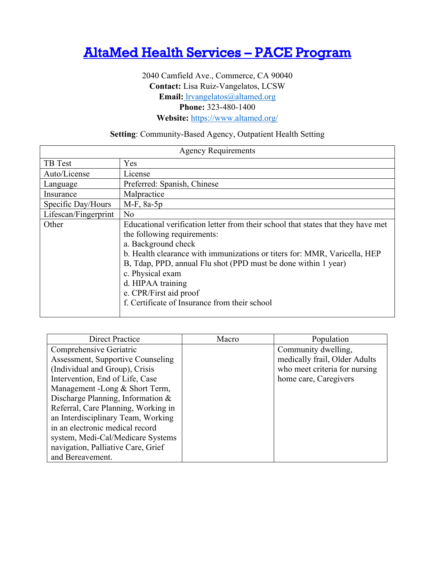### [AltaMed Health Services – PACE Program](#page-4-0)

2040 Camfield Ave., Commerce, CA 90040 **Contact:** Lisa Ruiz-Vangelatos, LCSW **Email:** [lrvangelatos@altamed.org](mailto:%20lrvangelatos@altamed.org) **Phone:** 323-480-1400 **Website:** <https://www.altamed.org/>

#### **Setting**: Community-Based Agency, Outpatient Health Setting

| <b>Agency Requirements</b>                                                |                                                                                  |  |
|---------------------------------------------------------------------------|----------------------------------------------------------------------------------|--|
| TB Test                                                                   | Yes                                                                              |  |
| Auto/License                                                              | License                                                                          |  |
| Language                                                                  | Preferred: Spanish, Chinese                                                      |  |
| Insurance                                                                 | Malpractice                                                                      |  |
| Specific Day/Hours                                                        | $M-F$ , 8a-5p                                                                    |  |
| Lifescan/Fingerprint                                                      | No                                                                               |  |
| Other                                                                     | Educational verification letter from their school that states that they have met |  |
|                                                                           | the following requirements:                                                      |  |
|                                                                           | a. Background check                                                              |  |
| b. Health clearance with immunizations or titers for: MMR, Varicella, HEP |                                                                                  |  |
|                                                                           | B, Tdap, PPD, annual Flu shot (PPD must be done within 1 year)                   |  |
|                                                                           | c. Physical exam                                                                 |  |
|                                                                           | d. HIPAA training                                                                |  |
|                                                                           | e. CPR/First aid proof                                                           |  |
|                                                                           | f. Certificate of Insurance from their school                                    |  |
|                                                                           |                                                                                  |  |

| Direct Practice                     | Macro | Population                    |
|-------------------------------------|-------|-------------------------------|
| Comprehensive Geriatric             |       | Community dwelling,           |
| Assessment, Supportive Counseling   |       | medically frail, Older Adults |
| (Individual and Group), Crisis      |       | who meet criteria for nursing |
| Intervention, End of Life, Case     |       | home care, Caregivers         |
| Management -Long & Short Term,      |       |                               |
| Discharge Planning, Information &   |       |                               |
| Referral, Care Planning, Working in |       |                               |
| an Interdisciplinary Team, Working  |       |                               |
| in an electronic medical record     |       |                               |
| system, Medi-Cal/Medicare Systems   |       |                               |
| navigation, Palliative Care, Grief  |       |                               |
| and Bereavement.                    |       |                               |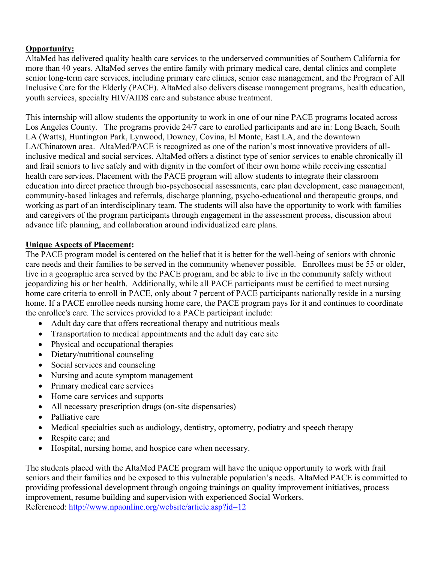AltaMed has delivered quality health care services to the underserved communities of Southern California for more than 40 years. AltaMed serves the entire family with primary medical care, dental clinics and complete senior long-term care services, including primary care clinics, senior case management, and the Program of All Inclusive Care for the Elderly (PACE). AltaMed also delivers disease management programs, health education, youth services, specialty HIV/AIDS care and substance abuse treatment.

This internship will allow students the opportunity to work in one of our nine PACE programs located across Los Angeles County. The programs provide 24/7 care to enrolled participants and are in: Long Beach, South LA (Watts), Huntington Park, Lynwood, Downey, Covina, El Monte, East LA, and the downtown LA/Chinatown area. AltaMed/PACE is recognized as one of the nation's most innovative providers of allinclusive medical and social services. AltaMed offers a distinct type of senior services to enable chronically ill and frail seniors to live safely and with dignity in the comfort of their own home while receiving essential health care services. Placement with the PACE program will allow students to integrate their classroom education into direct practice through bio-psychosocial assessments, care plan development, case management, community-based linkages and referrals, discharge planning, psycho-educational and therapeutic groups, and working as part of an interdisciplinary team. The students will also have the opportunity to work with families and caregivers of the program participants through engagement in the assessment process, discussion about advance life planning, and collaboration around individualized care plans.

#### **Unique Aspects of Placement:**

The PACE program model is centered on the belief that it is better for the well-being of seniors with chronic care needs and their families to be served in the community whenever possible. Enrollees must be 55 or older, live in a geographic area served by the PACE program, and be able to live in the community safely without jeopardizing his or her health. Additionally, while all PACE participants must be certified to meet nursing home care criteria to enroll in PACE, only about 7 percent of PACE participants nationally reside in a nursing home. If a PACE enrollee needs nursing home care, the PACE program pays for it and continues to coordinate the enrollee's care. The services provided to a PACE participant include:

- Adult day care that offers recreational therapy and nutritious meals
- Transportation to medical appointments and the adult day care site
- Physical and occupational therapies
- Dietary/nutritional counseling
- Social services and counseling
- Nursing and acute symptom management
- Primary medical care services
- Home care services and supports
- All necessary prescription drugs (on-site dispensaries)
- Palliative care
- Medical specialties such as audiology, dentistry, optometry, podiatry and speech therapy
- Respite care; and
- Hospital, nursing home, and hospice care when necessary.

The students placed with the AltaMed PACE program will have the unique opportunity to work with frail seniors and their families and be exposed to this vulnerable population's needs. AltaMed PACE is committed to providing professional development through ongoing trainings on quality improvement initiatives, process improvement, resume building and supervision with experienced Social Workers. Referenced:<http://www.npaonline.org/website/article.asp?id=12>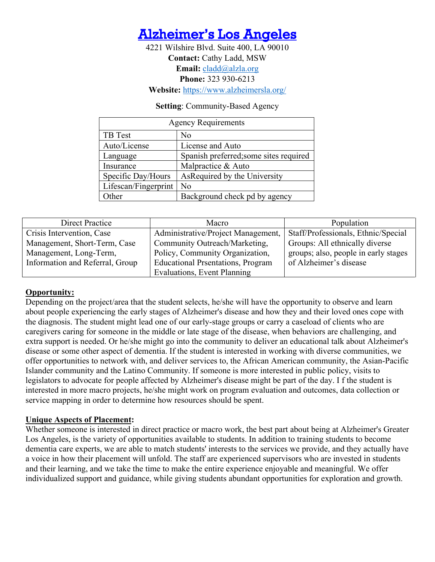<span id="page-7-0"></span>

4221 Wilshire Blvd. Suite 400, LA 90010 **Contact:** Cathy Ladd, MSW **Email:** [cladd@alzla.org](mailto:cladd@alzla.org) **Phone:** 323 930-6213 **Website:** <https://www.alzheimersla.org/>

**Setting**: Community-Based Agency

| <b>Agency Requirements</b> |                                        |  |
|----------------------------|----------------------------------------|--|
| TB Test                    | No                                     |  |
| Auto/License               | License and Auto                       |  |
| Language                   | Spanish preferred; some sites required |  |
| Insurance                  | Malpractice & Auto                     |  |
| Specific Day/Hours         | As Required by the University          |  |
| Lifescan/Fingerprint       | N <sub>o</sub>                         |  |
| Other                      | Background check pd by agency          |  |

| Direct Practice                 | Macro                                    | Population                           |
|---------------------------------|------------------------------------------|--------------------------------------|
| Crisis Intervention, Case       | Administrative/Project Management,       | Staff/Professionals, Ethnic/Special  |
| Management, Short-Term, Case    | Community Outreach/Marketing,            | Groups: All ethnically diverse       |
| Management, Long-Term,          | Policy, Community Organization,          | groups; also, people in early stages |
| Information and Referral, Group | <b>Educational Prsentations, Program</b> | of Alzheimer's disease               |
|                                 | Evaluations, Event Planning              |                                      |

#### **Opportunity:**

Depending on the project/area that the student selects, he/she will have the opportunity to observe and learn about people experiencing the early stages of Alzheimer's disease and how they and their loved ones cope with the diagnosis. The student might lead one of our early-stage groups or carry a caseload of clients who are caregivers caring for someone in the middle or late stage of the disease, when behaviors are challenging, and extra support is needed. Or he/she might go into the community to deliver an educational talk about Alzheimer's disease or some other aspect of dementia. If the student is interested in working with diverse communities, we offer opportunities to network with, and deliver services to, the African American community, the Asian-Pacific Islander community and the Latino Community. If someone is more interested in public policy, visits to legislators to advocate for people affected by Alzheimer's disease might be part of the day. I f the student is interested in more macro projects, he/she might work on program evaluation and outcomes, data collection or service mapping in order to determine how resources should be spent.

#### **Unique Aspects of Placement:**

Whether someone is interested in direct practice or macro work, the best part about being at Alzheimer's Greater Los Angeles, is the variety of opportunities available to students. In addition to training students to become dementia care experts, we are able to match students' interests to the services we provide, and they actually have a voice in how their placement will unfold. The staff are experienced supervisors who are invested in students and their learning, and we take the time to make the entire experience enjoyable and meaningful. We offer individualized support and guidance, while giving students abundant opportunities for exploration and growth.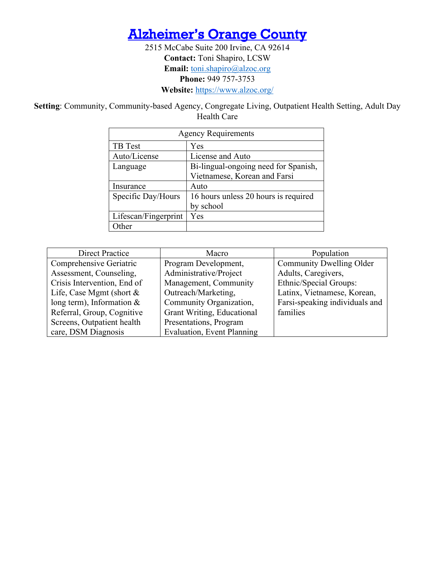

2515 McCabe Suite 200 Irvine, CA 92614 **Contact:** Toni Shapiro, LCSW Email: [toni.shapiro@alzoc.org](mailto:toni.shapiro@alzoc.org) **Phone:** 949 757-3753 **Website:** <https://www.alzoc.org/>

<span id="page-8-0"></span>**Setting**: Community, Community-based Agency, Congregate Living, Outpatient Health Setting, Adult Day Health Care

| <b>Agency Requirements</b>       |                                      |  |
|----------------------------------|--------------------------------------|--|
| TB Test                          | Yes                                  |  |
| Auto/License<br>License and Auto |                                      |  |
| Language                         | Bi-lingual-ongoing need for Spanish, |  |
|                                  | Vietnamese, Korean and Farsi         |  |
| Insurance                        | Auto                                 |  |
| Specific Day/Hours               | 16 hours unless 20 hours is required |  |
|                                  | by school                            |  |
| Lifescan/Fingerprint             | Yes                                  |  |
| <b>I</b> ther                    |                                      |  |

| <b>Direct Practice</b>      | Macro                             | Population                     |
|-----------------------------|-----------------------------------|--------------------------------|
| Comprehensive Geriatric     | Program Development,              | Community Dwelling Older       |
| Assessment, Counseling,     | Administrative/Project            | Adults, Caregivers,            |
| Crisis Intervention, End of | Management, Community             | Ethnic/Special Groups:         |
| Life, Case Mgmt (short $&$  | Outreach/Marketing,               | Latinx, Vietnamese, Korean,    |
| long term), Information $&$ | Community Organization,           | Farsi-speaking individuals and |
| Referral, Group, Cognitive  | Grant Writing, Educational        | families                       |
| Screens, Outpatient health  | Presentations, Program            |                                |
| care, DSM Diagnosis         | <b>Evaluation, Event Planning</b> |                                |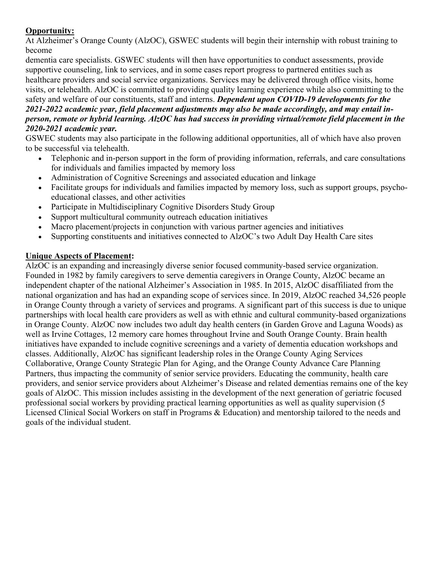At Alzheimer's Orange County (AlzOC), GSWEC students will begin their internship with robust training to become

dementia care specialists. GSWEC students will then have opportunities to conduct assessments, provide supportive counseling, link to services, and in some cases report progress to partnered entities such as healthcare providers and social service organizations. Services may be delivered through office visits, home visits, or telehealth. AlzOC is committed to providing quality learning experience while also committing to the safety and welfare of our constituents, staff and interns. *Dependent upon COVID-19 developments for the 2021-2022 academic year, field placement adjustments may also be made accordingly, and may entail inperson, remote or hybrid learning. AlzOC has had success in providing virtual/remote field placement in the* 

#### *2020-2021 academic year.*

GSWEC students may also participate in the following additional opportunities, all of which have also proven to be successful via telehealth.

- Telephonic and in-person support in the form of providing information, referrals, and care consultations for individuals and families impacted by memory loss
- Administration of Cognitive Screenings and associated education and linkage
- Facilitate groups for individuals and families impacted by memory loss, such as support groups, psychoeducational classes, and other activities
- Participate in Multidisciplinary Cognitive Disorders Study Group
- Support multicultural community outreach education initiatives
- Macro placement/projects in conjunction with various partner agencies and initiatives
- Supporting constituents and initiatives connected to AlzOC's two Adult Day Health Care sites

#### **Unique Aspects of Placement:**

<span id="page-9-0"></span>AlzOC is an expanding and increasingly diverse senior focused community-based service organization. Founded in 1982 by family caregivers to serve dementia caregivers in Orange County, AlzOC became an independent chapter of the national Alzheimer's Association in 1985. In 2015, AlzOC disaffiliated from the national organization and has had an expanding scope of services since. In 2019, AlzOC reached 34,526 people in Orange County through a variety of services and programs. A significant part of this success is due to unique partnerships with local health care providers as well as with ethnic and cultural community-based organizations in Orange County. AlzOC now includes two adult day health centers (in Garden Grove and Laguna Woods) as well as Irvine Cottages, 12 memory care homes throughout Irvine and South Orange County. Brain health initiatives have expanded to include cognitive screenings and a variety of dementia education workshops and classes. Additionally, AlzOC has significant leadership roles in the Orange County Aging Services Collaborative, Orange County Strategic Plan for Aging, and the Orange County Advance Care Planning Partners, thus impacting the community of senior service providers. Educating the community, health care providers, and senior service providers about Alzheimer's Disease and related dementias remains one of the key goals of AlzOC. This mission includes assisting in the development of the next generation of geriatric focused professional social workers by providing practical learning opportunities as well as quality supervision (5 Licensed Clinical Social Workers on staff in Programs & Education) and mentorship tailored to the needs and goals of the individual student.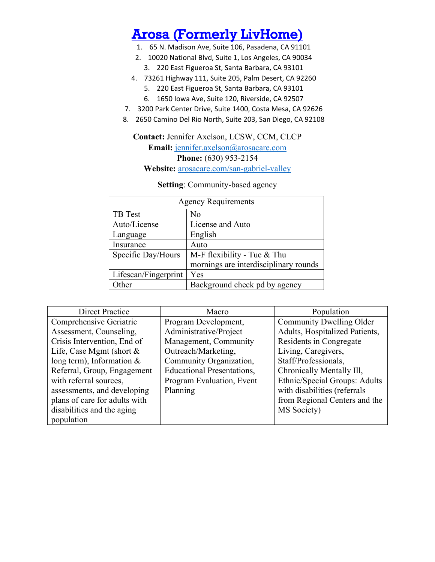### [Arosa \(Formerly LivHome\)](#page-4-0)

- 1. 65 N. Madison Ave, Suite 106, Pasadena, CA 91101
- 2. 10020 National Blvd, Suite 1, Los Angeles, CA 90034
- 3. 220 East Figueroa St, Santa Barbara, CA 93101
- 4. 73261 Highway 111, Suite 205, Palm Desert, CA 92260
	- 5. 220 East Figueroa St, Santa Barbara, CA 93101
	- 6. 1650 Iowa Ave, Suite 120, Riverside, CA 92507
- 7. 3200 Park Center Drive, Suite 1400, Costa Mesa, CA 92626
- 8. 2650 Camino Del Rio North, Suite 203, San Diego, CA 92108

### **Contact:** Jennifer Axelson, LCSW, CCM, CLCP **Email:** [jennifer.axelson@arosacare.com](mailto:jennifer.axelson@arosacare.com) **Phone:** (630) 953-2154

**Website:** arosacare.com/san-gabriel-valley

| <b>Agency Requirements</b> |                                       |  |
|----------------------------|---------------------------------------|--|
| TB Test                    | No                                    |  |
| Auto/License               | License and Auto                      |  |
| Language                   | English                               |  |
| Insurance                  | Auto                                  |  |
| Specific Day/Hours         | M-F flexibility - Tue & Thu           |  |
|                            | mornings are interdisciplinary rounds |  |
| Lifescan/Fingerprint       | Yes                                   |  |
| Other                      | Background check pd by agency         |  |

#### **Setting**: Community-based agency

| <b>Direct Practice</b>        | Macro                             | Population                     |
|-------------------------------|-----------------------------------|--------------------------------|
| Comprehensive Geriatric       | Program Development,              | Community Dwelling Older       |
| Assessment, Counseling,       | Administrative/Project            | Adults, Hospitalized Patients, |
| Crisis Intervention, End of   | Management, Community             | Residents in Congregate        |
| Life, Case Mgmt (short $&$    | Outreach/Marketing,               | Living, Caregivers,            |
| long term), Information $&$   | Community Organization,           | Staff/Professionals,           |
| Referral, Group, Engagement   | <b>Educational Presentations,</b> | Chronically Mentally Ill,      |
| with referral sources,        | Program Evaluation, Event         | Ethnic/Special Groups: Adults  |
| assessments, and developing   | Planning                          | with disabilities (referrals   |
| plans of care for adults with |                                   | from Regional Centers and the  |
| disabilities and the aging    |                                   | MS Society)                    |
| population                    |                                   |                                |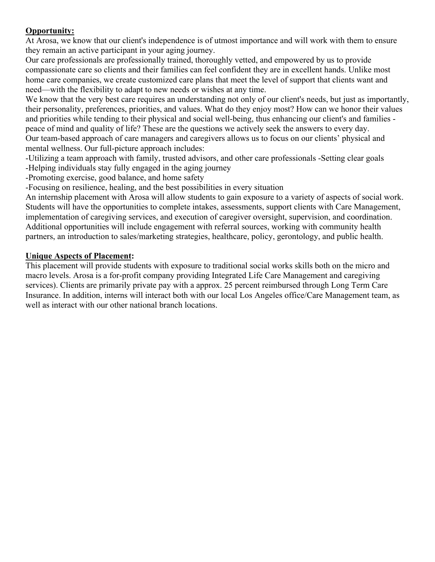At Arosa, we know that our client's independence is of utmost importance and will work with them to ensure they remain an active participant in your aging journey.

Our care professionals are professionally trained, thoroughly vetted, and empowered by us to provide compassionate care so clients and their families can feel confident they are in excellent hands. Unlike most home care companies, we create customized care plans that meet the level of support that clients want and need—with the flexibility to adapt to new needs or wishes at any time.

We know that the very best care requires an understanding not only of our client's needs, but just as importantly, their personality, preferences, priorities, and values. What do they enjoy most? How can we honor their values and priorities while tending to their physical and social well-being, thus enhancing our client's and families peace of mind and quality of life? These are the questions we actively seek the answers to every day. Our team-based approach of care managers and caregivers allows us to focus on our clients' physical and mental wellness. Our full-picture approach includes:

-Utilizing a team approach with family, trusted advisors, and other care professionals -Setting clear goals -Helping individuals stay fully engaged in the aging journey

-Promoting exercise, good balance, and home safety

-Focusing on resilience, healing, and the best possibilities in every situation

An internship placement with Arosa will allow students to gain exposure to a variety of aspects of social work. Students will have the opportunities to complete intakes, assessments, support clients with Care Management, implementation of caregiving services, and execution of caregiver oversight, supervision, and coordination. Additional opportunities will include engagement with referral sources, working with community health partners, an introduction to sales/marketing strategies, healthcare, policy, gerontology, and public health.

#### **Unique Aspects of Placement:**

This placement will provide students with exposure to traditional social works skills both on the micro and macro levels. Arosa is a for-profit company providing Integrated Life Care Management and caregiving services). Clients are primarily private pay with a approx. 25 percent reimbursed through Long Term Care Insurance. In addition, interns will interact both with our local Los Angeles office/Care Management team, as well as interact with our other national branch locations.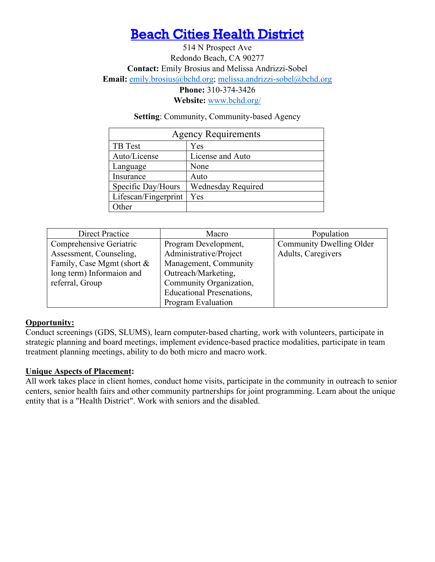## [Beach Cities Health District](#page-4-0)

<span id="page-12-0"></span>514 N Prospect Ave Redondo Beach, CA 90277 **Contact:** Emily Brosius and Melissa Andrizzi-Sobel **Email:** [emily.brosius@bchd.org;](mailto:emily.brosius@bchd.org) [melissa.andrizzi-sobel@bchd.org](mailto:melissa.andrizzi-sobel@bchd.org) **Phone:** 310-374-3426 **Website:** [www.bchd.org/](https://www.bchd.org/)

**Setting**: Community, Community-based Agency

| <b>Agency Requirements</b> |                           |  |
|----------------------------|---------------------------|--|
| TB Test                    | Yes                       |  |
| Auto/License               | License and Auto          |  |
| Language                   | None                      |  |
| Insurance                  | Auto                      |  |
| Specific Day/Hours         | <b>Wednesday Required</b> |  |
| Lifescan/Fingerprint       | Yes                       |  |
| Other                      |                           |  |

| Direct Practice            | Macro                            | Population               |
|----------------------------|----------------------------------|--------------------------|
| Comprehensive Geriatric    | Program Development,             | Community Dwelling Older |
| Assessment, Counseling,    | Administrative/Project           | Adults, Caregivers       |
| Family, Case Mgmt (short & | Management, Community            |                          |
| long term) Informaion and  | Outreach/Marketing,              |                          |
| referral, Group            | Community Organization,          |                          |
|                            | <b>Educational Presenations,</b> |                          |
|                            | Program Evaluation               |                          |

#### **Opportunity:**

Conduct screenings (GDS, SLUMS), learn computer-based charting, work with volunteers, participate in strategic planning and board meetings, implement evidence-based practice modalities, participate in team treatment planning meetings, ability to do both micro and macro work.

#### **Unique Aspects of Placement:**

All work takes place in client homes, conduct home visits, participate in the community in outreach to senior centers, senior health fairs and other community partnerships for joint programming. Learn about the unique entity that is a "Health District". Work with seniors and the disabled.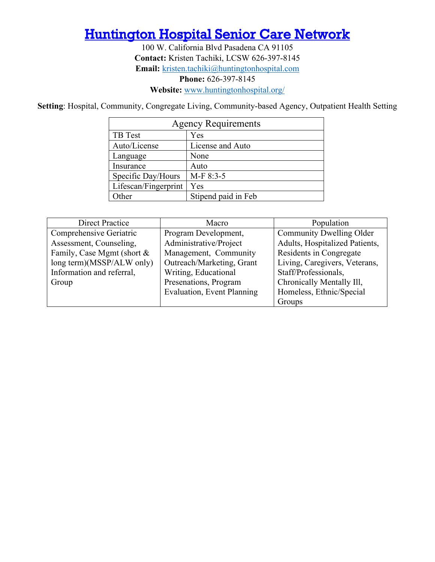### <span id="page-13-0"></span>**Huntington Hospital Senior Care Network**

100 W. California Blvd Pasadena CA 91105 **Contact:** Kristen Tachiki, LCSW 626-397-8145 **Email:** [kristen.tachiki@huntingtonhospital.com](mailto:kristen.tachiki@huntingtonhospital.com) **Phone:** 626-397-8145 **Website:** [www.huntingtonhospital.org/](https://www.huntingtonhospital.org/)

**Setting**: Hospital, Community, Congregate Living, Community-based Agency, Outpatient Health Setting

| <b>Agency Requirements</b> |                     |  |
|----------------------------|---------------------|--|
| TB Test                    | Yes                 |  |
| Auto/License               | License and Auto    |  |
| Language                   | None                |  |
| Insurance                  | Auto                |  |
| Specific Day/Hours         | M-F 8:3-5           |  |
| Lifescan/Fingerprint       | Yes                 |  |
| <b>Other</b>               | Stipend paid in Feb |  |

| <b>Direct Practice</b>     | Macro                             | Population                     |
|----------------------------|-----------------------------------|--------------------------------|
| Comprehensive Geriatric    | Program Development,              | Community Dwelling Older       |
| Assessment, Counseling,    | Administrative/Project            | Adults, Hospitalized Patients, |
| Family, Case Mgmt (short & | Management, Community             | Residents in Congregate        |
| long term)(MSSP/ALW only)  | Outreach/Marketing, Grant         | Living, Caregivers, Veterans,  |
| Information and referral,  | Writing, Educational              | Staff/Professionals,           |
| Group                      | Presenations, Program             | Chronically Mentally Ill,      |
|                            | <b>Evaluation, Event Planning</b> | Homeless, Ethnic/Special       |
|                            |                                   | Groups                         |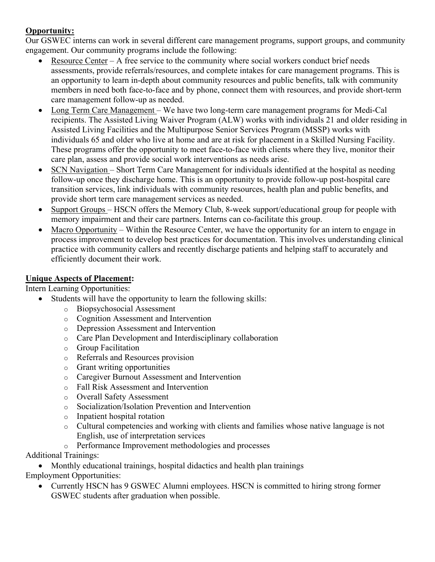Our GSWEC interns can work in several different care management programs, support groups, and community engagement. Our community programs include the following:

- Resource Center A free service to the community where social workers conduct brief needs assessments, provide referrals/resources, and complete intakes for care management programs. This is an opportunity to learn in-depth about community resources and public benefits, talk with community members in need both face-to-face and by phone, connect them with resources, and provide short-term care management follow-up as needed.
- Long Term Care Management We have two long-term care management programs for Medi-Cal recipients. The Assisted Living Waiver Program (ALW) works with individuals 21 and older residing in Assisted Living Facilities and the Multipurpose Senior Services Program (MSSP) works with individuals 65 and older who live at home and are at risk for placement in a Skilled Nursing Facility. These programs offer the opportunity to meet face-to-face with clients where they live, monitor their care plan, assess and provide social work interventions as needs arise.
- SCN Navigation Short Term Care Management for individuals identified at the hospital as needing follow-up once they discharge home. This is an opportunity to provide follow-up post-hospital care transition services, link individuals with community resources, health plan and public benefits, and provide short term care management services as needed.
- Support Groups HSCN offers the Memory Club, 8-week support/educational group for people with memory impairment and their care partners. Interns can co-facilitate this group.
- Macro Opportunity Within the Resource Center, we have the opportunity for an intern to engage in process improvement to develop best practices for documentation. This involves understanding clinical practice with community callers and recently discharge patients and helping staff to accurately and efficiently document their work.

#### **Unique Aspects of Placement:**

Intern Learning Opportunities:

- Students will have the opportunity to learn the following skills:
	- o Biopsychosocial Assessment
	- o Cognition Assessment and Intervention
	- o Depression Assessment and Intervention
	- o Care Plan Development and Interdisciplinary collaboration
	- o Group Facilitation
	- o Referrals and Resources provision
	- o Grant writing opportunities
	- o Caregiver Burnout Assessment and Intervention
	- o Fall Risk Assessment and Intervention
	- o Overall Safety Assessment
	- o Socialization/Isolation Prevention and Intervention
	- o Inpatient hospital rotation
	- o Cultural competencies and working with clients and families whose native language is not English, use of interpretation services
	- o Performance Improvement methodologies and processes

Additional Trainings:

• Monthly educational trainings, hospital didactics and health plan trainings

Employment Opportunities:

• Currently HSCN has 9 GSWEC Alumni employees. HSCN is committed to hiring strong former GSWEC students after graduation when possible.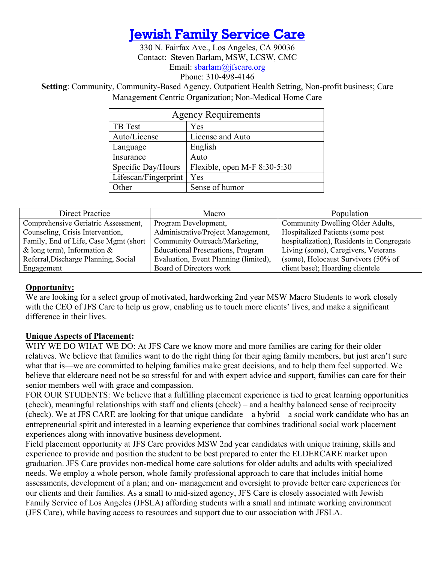### [Jewish Family Service Care](#page-4-0)

330 N. Fairfax Ave., Los Angeles, CA 90036 Contact: Steven Barlam, MSW, LCSW, CMC Email: [sbarlam@jfscare.org](mailto:sbarlam@jfscare.org) Phone: 310-498-4146

<span id="page-15-0"></span>**Setting**: Community, Community-Based Agency, Outpatient Health Setting, Non-profit business; Care Management Centric Organization; Non-Medical Home Care

| <b>Agency Requirements</b> |                                |  |
|----------------------------|--------------------------------|--|
| TB Test                    | Yes                            |  |
| Auto/License               | License and Auto               |  |
| Language                   | English                        |  |
| Insurance                  | Auto                           |  |
| Specific Day/Hours         | Flexible, open M-F $8:30-5:30$ |  |
| Lifescan/Fingerprint       | Yes                            |  |
| )ther                      | Sense of humor                 |  |

| Direct Practice                        | Macro                                    | Population                                |
|----------------------------------------|------------------------------------------|-------------------------------------------|
| Comprehensive Geriatric Assessment,    | Program Development,                     | Community Dwelling Older Adults,          |
| Counseling, Crisis Intervention,       | Administrative/Project Management,       | Hospitalized Patients (some post          |
| Family, End of Life, Case Mgmt (short) | Community Outreach/Marketing,            | hospitalization), Residents in Congregate |
| & long term), Information $\&$         | <b>Educational Presenations, Program</b> | Living (some), Caregivers, Veterans       |
| Referral, Discharge Planning, Social   | Evaluation, Event Planning (limited),    | (some), Holocaust Survivors (50% of       |
| Engagement                             | Board of Directors work                  | client base); Hoarding clientele          |

#### **Opportunity:**

We are looking for a select group of motivated, hardworking 2nd year MSW Macro Students to work closely with the CEO of JFS Care to help us grow, enabling us to touch more clients' lives, and make a significant difference in their lives.

#### **Unique Aspects of Placement:**

WHY WE DO WHAT WE DO: At JFS Care we know more and more families are caring for their older relatives. We believe that families want to do the right thing for their aging family members, but just aren't sure what that is—we are committed to helping families make great decisions, and to help them feel supported. We believe that eldercare need not be so stressful for and with expert advice and support, families can care for their senior members well with grace and compassion.

FOR OUR STUDENTS: We believe that a fulfilling placement experience is tied to great learning opportunities (check), meaningful relationships with staff and clients (check) – and a healthy balanced sense of reciprocity (check). We at JFS CARE are looking for that unique candidate – a hybrid – a social work candidate who has an entrepreneurial spirit and interested in a learning experience that combines traditional social work placement experiences along with innovative business development.

<span id="page-15-1"></span>Field placement opportunity at JFS Care provides MSW 2nd year candidates with unique training, skills and experience to provide and position the student to be best prepared to enter the ELDERCARE market upon graduation. JFS Care provides non-medical home care solutions for older adults and adults with specialized needs. We employ a whole person, whole family professional approach to care that includes initial home assessments, development of a plan; and on- management and oversight to provide better care experiences for our clients and their families. As a small to mid-sized agency, JFS Care is closely associated with Jewish Family Service of Los Angeles (JFSLA) affording students with a small and intimate working environment (JFS Care), while having access to resources and support due to our association with JFSLA.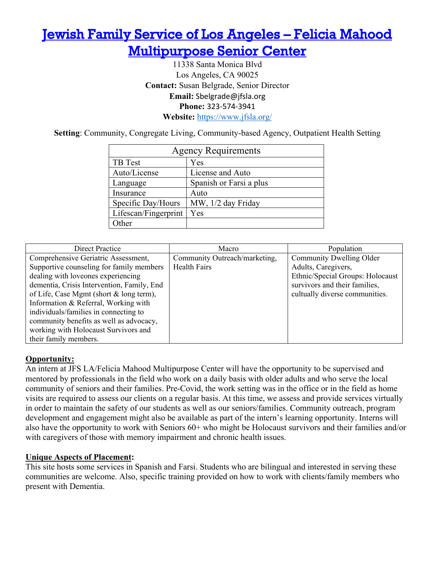## [Jewish Family Service of Los Angeles – Felicia Mahood](#page-4-0)  [Multipurpose Senior Center](#page-4-0)

11338 Santa Monica Blvd Los Angeles, CA 90025 **Contact:** Susan Belgrade, Senior Director **Email:** Sbelgrade@jfsla.org **Phone:** 323-574-3941 **Website:** <https://www.jfsla.org/>

**Setting**: Community, Congregate Living, Community-based Agency, Outpatient Health Setting

| <b>Agency Requirements</b> |                         |  |
|----------------------------|-------------------------|--|
| TB Test                    | Yes                     |  |
| Auto/License               | License and Auto        |  |
| Language                   | Spanish or Farsi a plus |  |
| Insurance                  | Auto                    |  |
| Specific Day/Hours         | MW, 1/2 day Friday      |  |
| Lifescan/Fingerprint       | Yes                     |  |
| ther                       |                         |  |

| <b>Direct Practice</b>                                                                                                                                                                                                                                 | Macro                                                | Population                                                                                                                                             |
|--------------------------------------------------------------------------------------------------------------------------------------------------------------------------------------------------------------------------------------------------------|------------------------------------------------------|--------------------------------------------------------------------------------------------------------------------------------------------------------|
| Comprehensive Geriatric Assessment,<br>Supportive counseling for family members<br>dealing with loveones experiencing<br>dementia, Crisis Intervention, Family, End<br>of Life, Case Mgmt (short & long term),<br>Information & Referral, Working with | Community Outreach/marketing,<br><b>Health Fairs</b> | Community Dwelling Older<br>Adults, Caregivers,<br>Ethnic/Special Groups: Holocaust<br>survivors and their families,<br>cultually diverse communities. |
| individuals/families in connecting to<br>community benefits as well as advocacy,<br>working with Holocaust Survivors and<br>their family members.                                                                                                      |                                                      |                                                                                                                                                        |

#### **Opportunity:**

An intern at JFS LA/Felicia Mahood Multipurpose Center will have the opportunity to be supervised and mentored by professionals in the field who work on a daily basis with older adults and who serve the local community of seniors and their families. Pre-Covid, the work setting was in the office or in the field as home visits are required to assess our clients on a regular basis. At this time, we assess and provide services virtually in order to maintain the safety of our students as well as our seniors/families. Community outreach, program development and engagement might also be available as part of the intern's learning opportunity. Interns will also have the opportunity to work with Seniors 60+ who might be Holocaust survivors and their families and/or with caregivers of those with memory impairment and chronic health issues.

#### **Unique Aspects of Placement:**

<span id="page-16-0"></span>This site hosts some services in Spanish and Farsi. Students who are bilingual and interested in serving these communities are welcome. Also, specific training provided on how to work with clients/family members who present with Dementia.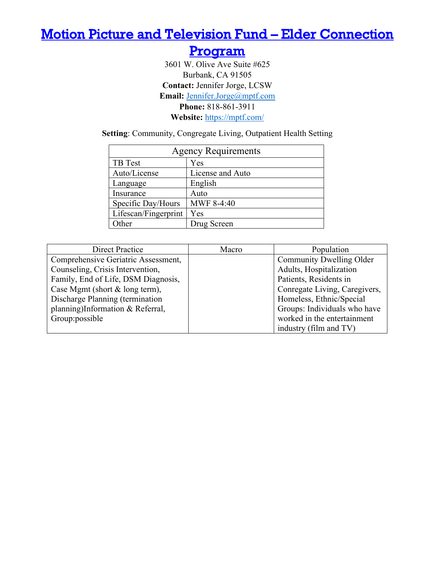### <span id="page-17-0"></span>[Motion Picture and Television Fund – Elder Connection](#page-4-0)

[Program](#page-4-0) 

3601 W. Olive Ave Suite #625 Burbank, CA 91505 **Contact:** Jennifer Jorge, LCSW **Email:** [Jennifer.Jorge@mptf.com](mailto:Jennifer.Jorge@mptf.com) **Phone:** 818-861-3911 **Website:** <https://mptf.com/>

**Setting**: Community, Congregate Living, Outpatient Health Setting

| <b>Agency Requirements</b> |                  |  |
|----------------------------|------------------|--|
| TB Test                    | Yes              |  |
| Auto/License               | License and Auto |  |
| Language                   | English          |  |
| Insurance                  | Auto             |  |
| Specific Day/Hours         | MWF 8-4:40       |  |
| Lifescan/Fingerprint       | Yes              |  |
| Other                      | Drug Screen      |  |

| <b>Direct Practice</b>              | Macro | Population                    |
|-------------------------------------|-------|-------------------------------|
| Comprehensive Geriatric Assessment, |       | Community Dwelling Older      |
| Counseling, Crisis Intervention,    |       | Adults, Hospitalization       |
| Family, End of Life, DSM Diagnosis, |       | Patients, Residents in        |
| Case Mgmt (short $&$ long term),    |       | Conregate Living, Caregivers, |
| Discharge Planning (termination     |       | Homeless, Ethnic/Special      |
| planning)Information & Referral,    |       | Groups: Individuals who have  |
| Group: possible                     |       | worked in the entertainment   |
|                                     |       | industry (film and TV)        |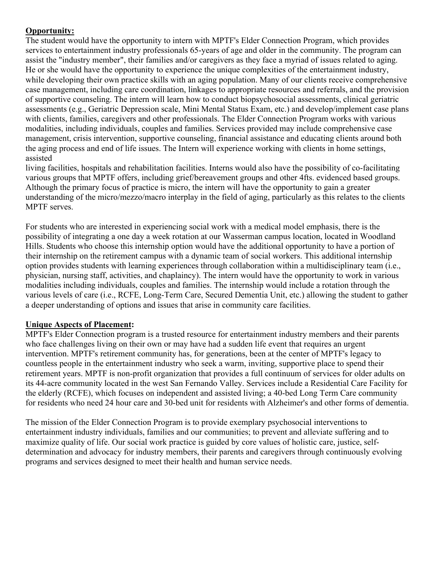The student would have the opportunity to intern with MPTF's Elder Connection Program, which provides services to entertainment industry professionals 65-years of age and older in the community. The program can assist the "industry member", their families and/or caregivers as they face a myriad of issues related to aging. He or she would have the opportunity to experience the unique complexities of the entertainment industry, while developing their own practice skills with an aging population. Many of our clients receive comprehensive case management, including care coordination, linkages to appropriate resources and referrals, and the provision of supportive counseling. The intern will learn how to conduct biopsychosocial assessments, clinical geriatric assessments (e.g., Geriatric Depression scale, Mini Mental Status Exam, etc.) and develop/implement case plans with clients, families, caregivers and other professionals. The Elder Connection Program works with various modalities, including individuals, couples and families. Services provided may include comprehensive case management, crisis intervention, supportive counseling, financial assistance and educating clients around both the aging process and end of life issues. The Intern will experience working with clients in home settings, assisted

living facilities, hospitals and rehabilitation facilities. Interns would also have the possibility of co-facilitating various groups that MPTF offers, including grief/bereavement groups and other 4fts. evidenced based groups. Although the primary focus of practice is micro, the intern will have the opportunity to gain a greater understanding of the micro/mezzo/macro interplay in the field of aging, particularly as this relates to the clients MPTF serves.

For students who are interested in experiencing social work with a medical model emphasis, there is the possibility of integrating a one day a week rotation at our Wasserman campus location, located in Woodland Hills. Students who choose this internship option would have the additional opportunity to have a portion of their internship on the retirement campus with a dynamic team of social workers. This additional internship option provides students with learning experiences through collaboration within a multidisciplinary team (i.e., physician, nursing staff, activities, and chaplaincy). The intern would have the opportunity to work in various modalities including individuals, couples and families. The internship would include a rotation through the various levels of care (i.e., RCFE, Long-Term Care, Secured Dementia Unit, etc.) allowing the student to gather a deeper understanding of options and issues that arise in community care facilities.

#### **Unique Aspects of Placement:**

MPTF's Elder Connection program is a trusted resource for entertainment industry members and their parents who face challenges living on their own or may have had a sudden life event that requires an urgent intervention. MPTF's retirement community has, for generations, been at the center of MPTF's legacy to countless people in the entertainment industry who seek a warm, inviting, supportive place to spend their retirement years. MPTF is non-profit organization that provides a full continuum of services for older adults on its 44-acre community located in the west San Fernando Valley. Services include a Residential Care Facility for the elderly (RCFE), which focuses on independent and assisted living; a 40-bed Long Term Care community for residents who need 24 hour care and 30-bed unit for residents with Alzheimer's and other forms of dementia.

The mission of the Elder Connection Program is to provide exemplary psychosocial interventions to entertainment industry individuals, families and our communities; to prevent and alleviate suffering and to maximize quality of life. Our social work practice is guided by core values of holistic care, justice, selfdetermination and advocacy for industry members, their parents and caregivers through continuously evolving programs and services designed to meet their health and human service needs.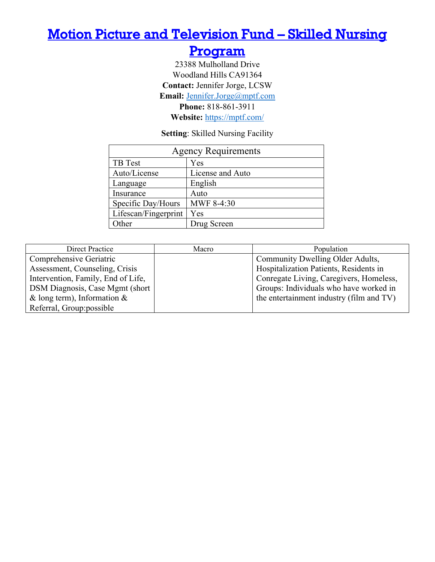### <span id="page-19-0"></span>[Motion Picture and Television Fund – Skilled Nursing](#page-4-0)

### [Program](#page-4-0)

23388 Mulholland Drive Woodland Hills CA91364 **Contact:** Jennifer Jorge, LCSW **Email:** [Jennifer.Jorge@mptf.com](mailto:Jennifer.Jorge@mptf.com) **Phone:** 818-861-3911 **Website:** <https://mptf.com/>

**Setting**: Skilled Nursing Facility

| <b>Agency Requirements</b> |                  |  |
|----------------------------|------------------|--|
| TB Test                    | Yes              |  |
| Auto/License               | License and Auto |  |
| Language                   | English          |  |
| Insurance                  | Auto             |  |
| Specific Day/Hours         | MWF 8-4:30       |  |
| Lifescan/Fingerprint       | Yes              |  |
| Other                      | Drug Screen      |  |

| Direct Practice                    | Macro | Population                               |
|------------------------------------|-------|------------------------------------------|
| Comprehensive Geriatric            |       | Community Dwelling Older Adults,         |
| Assessment, Counseling, Crisis     |       | Hospitalization Patients, Residents in   |
| Intervention, Family, End of Life, |       | Conregate Living, Caregivers, Homeless,  |
| DSM Diagnosis, Case Mgmt (short)   |       | Groups: Individuals who have worked in   |
| & long term), Information &        |       | the entertainment industry (film and TV) |
| Referral, Group: possible          |       |                                          |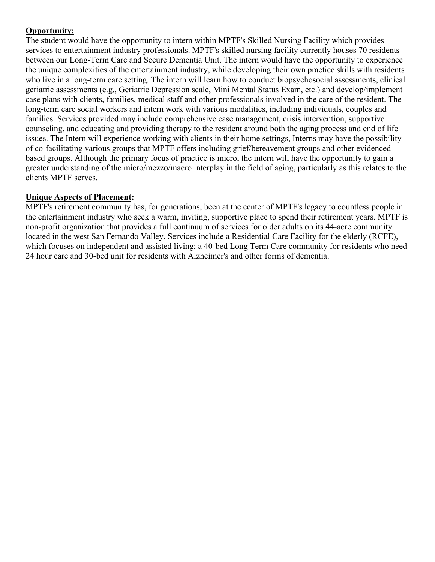The student would have the opportunity to intern within MPTF's Skilled Nursing Facility which provides services to entertainment industry professionals. MPTF's skilled nursing facility currently houses 70 residents between our Long-Term Care and Secure Dementia Unit. The intern would have the opportunity to experience the unique complexities of the entertainment industry, while developing their own practice skills with residents who live in a long-term care setting. The intern will learn how to conduct biopsychosocial assessments, clinical geriatric assessments (e.g., Geriatric Depression scale, Mini Mental Status Exam, etc.) and develop/implement case plans with clients, families, medical staff and other professionals involved in the care of the resident. The long-term care social workers and intern work with various modalities, including individuals, couples and families. Services provided may include comprehensive case management, crisis intervention, supportive counseling, and educating and providing therapy to the resident around both the aging process and end of life issues. The Intern will experience working with clients in their home settings, Interns may have the possibility of co-facilitating various groups that MPTF offers including grief/bereavement groups and other evidenced based groups. Although the primary focus of practice is micro, the intern will have the opportunity to gain a greater understanding of the micro/mezzo/macro interplay in the field of aging, particularly as this relates to the clients MPTF serves.

#### **Unique Aspects of Placement:**

MPTF's retirement community has, for generations, been at the center of MPTF's legacy to countless people in the entertainment industry who seek a warm, inviting, supportive place to spend their retirement years. MPTF is non-profit organization that provides a full continuum of services for older adults on its 44-acre community located in the west San Fernando Valley. Services include a Residential Care Facility for the elderly (RCFE), which focuses on independent and assisted living; a 40-bed Long Term Care community for residents who need 24 hour care and 30-bed unit for residents with Alzheimer's and other forms of dementia.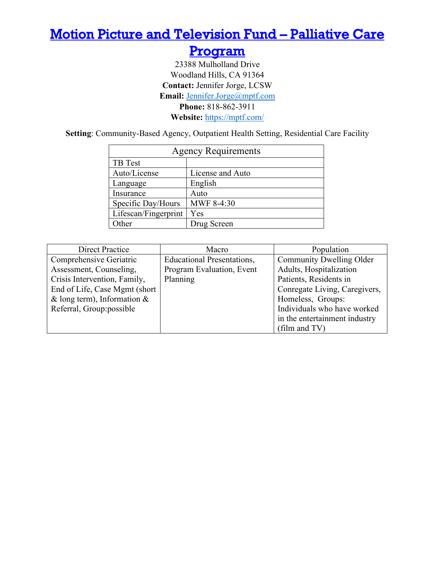### <span id="page-21-0"></span>[Motion Picture and Television Fund – Palliative Care](#page-4-0)

### [Program](#page-4-0)

23388 Mulholland Drive Woodland Hills, CA 91364 **Contact:** Jennifer Jorge, LCSW **Email:** [Jennifer.Jorge@mptf.com](mailto:Jennifer.Jorge@mptf.com) **Phone:** 818-862-3911 **Website:** <https://mptf.com/>

**Setting**: Community-Based Agency, Outpatient Health Setting, Residential Care Facility

| <b>Agency Requirements</b> |                  |  |
|----------------------------|------------------|--|
| TB Test                    |                  |  |
| Auto/License               | License and Auto |  |
| Language                   | English          |  |
| Insurance                  | Auto             |  |
| Specific Day/Hours         | MWF 8-4:30       |  |
| Lifescan/Fingerprint       | Yes              |  |
| <b>Other</b>               | Drug Screen      |  |

| <b>Direct Practice</b>         | Macro                             | Population                      |
|--------------------------------|-----------------------------------|---------------------------------|
| Comprehensive Geriatric        | <b>Educational Presentations,</b> | <b>Community Dwelling Older</b> |
| Assessment, Counseling,        | Program Evaluation, Event         | Adults, Hospitalization         |
| Crisis Intervention, Family,   | Planning                          | Patients, Residents in          |
| End of Life, Case Mgmt (short) |                                   | Conregate Living, Caregivers,   |
| & long term), Information $\&$ |                                   | Homeless, Groups:               |
| Referral, Group:possible       |                                   | Individuals who have worked     |
|                                |                                   | in the entertainment industry   |
|                                |                                   | (film and $TV$ )                |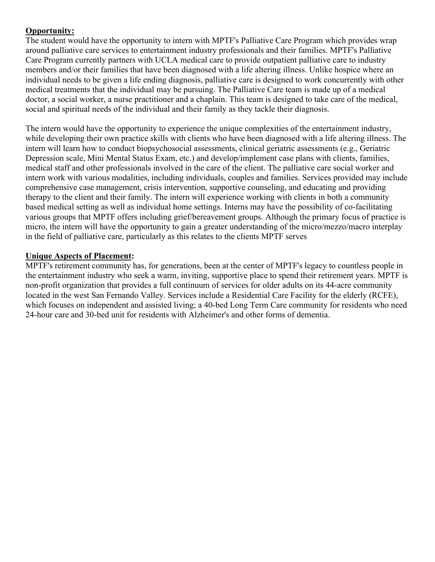The student would have the opportunity to intern with MPTF's Palliative Care Program which provides wrap around palliative care services to entertainment industry professionals and their families. MPTF's Palliative Care Program currently partners with UCLA medical care to provide outpatient palliative care to industry members and/or their families that have been diagnosed with a life altering illness. Unlike hospice where an individual needs to be given a life ending diagnosis, palliative care is designed to work concurrently with other medical treatments that the individual may be pursuing. The Palliative Care team is made up of a medical doctor, a social worker, a nurse practitioner and a chaplain. This team is designed to take care of the medical, social and spiritual needs of the individual and their family as they tackle their diagnosis.

The intern would have the opportunity to experience the unique complexities of the entertainment industry, while developing their own practice skills with clients who have been diagnosed with a life altering illness. The intern will learn how to conduct biopsychosocial assessments, clinical geriatric assessments (e.g., Geriatric Depression scale, Mini Mental Status Exam, etc.) and develop/implement case plans with clients, families, medical staff and other professionals involved in the care of the client. The palliative care social worker and intern work with various modalities, including individuals, couples and families. Services provided may include comprehensive case management, crisis intervention, supportive counseling, and educating and providing therapy to the client and their family. The intern will experience working with clients in both a community based medical setting as well as individual home settings. Interns may have the possibility of co-facilitating various groups that MPTF offers including grief/bereavement groups. Although the primary focus of practice is micro, the intern will have the opportunity to gain a greater understanding of the micro/mezzo/macro interplay in the field of palliative care, particularly as this relates to the clients MPTF serves

#### **Unique Aspects of Placement:**

MPTF's retirement community has, for generations, been at the center of MPTF's legacy to countless people in the entertainment industry who seek a warm, inviting, supportive place to spend their retirement years. MPTF is non-profit organization that provides a full continuum of services for older adults on its 44-acre community located in the west San Fernando Valley. Services include a Residential Care Facility for the elderly (RCFE), which focuses on independent and assisted living; a 40-bed Long Term Care community for residents who need 24-hour care and 30-bed unit for residents with Alzheimer's and other forms of dementia.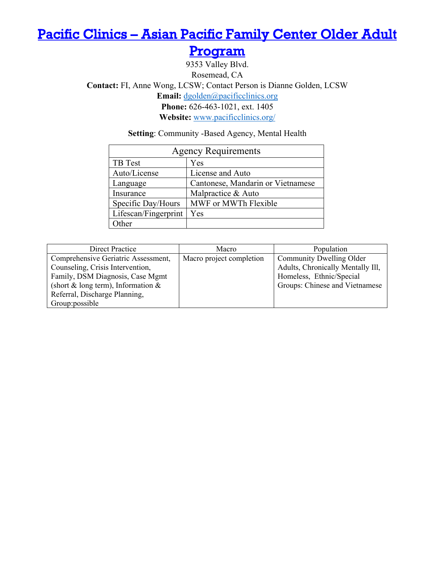## <span id="page-23-0"></span>[Pacific Clinics – Asian Pacific Family Center Older Adult](#page-4-0)

[Program](#page-4-0) 

9353 Valley Blvd. Rosemead, CA **Contact:** FI, Anne Wong, LCSW; Contact Person is Dianne Golden, LCSW **Email:** [dgolden@pacificclinics.org](mailto:dgolden@pacificclinics.org) **Phone:** 626-463-1021, ext. 1405 **Website:** [www.pacificclinics.org/](https://www.pacificclinics.org/)

**Setting**: Community -Based Agency, Mental Health

| <b>Agency Requirements</b> |                                   |  |
|----------------------------|-----------------------------------|--|
| TB Test                    | Yes                               |  |
| Auto/License               | License and Auto                  |  |
| Language                   | Cantonese, Mandarin or Vietnamese |  |
| Insurance                  | Malpractice & Auto                |  |
| Specific Day/Hours         | MWF or MWTh Flexible              |  |
| Lifescan/Fingerprint       | Yes                               |  |
| Other                      |                                   |  |

| Direct Practice                       | Macro                    | Population                        |
|---------------------------------------|--------------------------|-----------------------------------|
| Comprehensive Geriatric Assessment,   | Macro project completion | Community Dwelling Older          |
| Counseling, Crisis Intervention,      |                          | Adults, Chronically Mentally Ill, |
| Family, DSM Diagnosis, Case Mgmt      |                          | Homeless, Ethnic/Special          |
| (short & long term), Information $\&$ |                          | Groups: Chinese and Vietnamese    |
| Referral, Discharge Planning,         |                          |                                   |
| Group: possible                       |                          |                                   |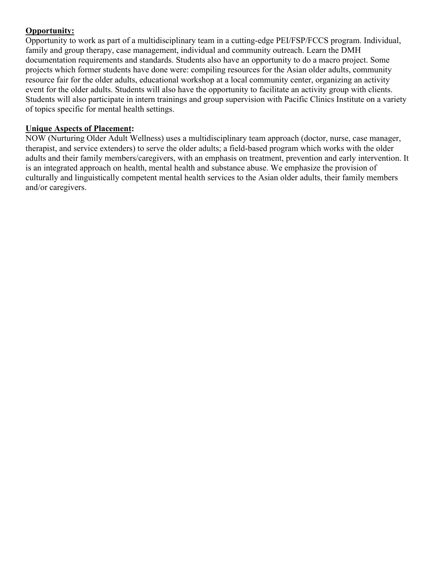Opportunity to work as part of a multidisciplinary team in a cutting-edge PEI/FSP/FCCS program. Individual, family and group therapy, case management, individual and community outreach. Learn the DMH documentation requirements and standards. Students also have an opportunity to do a macro project. Some projects which former students have done were: compiling resources for the Asian older adults, community resource fair for the older adults, educational workshop at a local community center, organizing an activity event for the older adults. Students will also have the opportunity to facilitate an activity group with clients. Students will also participate in intern trainings and group supervision with Pacific Clinics Institute on a variety of topics specific for mental health settings.

#### **Unique Aspects of Placement:**

NOW (Nurturing Older Adult Wellness) uses a multidisciplinary team approach (doctor, nurse, case manager, therapist, and service extenders) to serve the older adults; a field-based program which works with the older adults and their family members/caregivers, with an emphasis on treatment, prevention and early intervention. It is an integrated approach on health, mental health and substance abuse. We emphasize the provision of culturally and linguistically competent mental health services to the Asian older adults, their family members and/or caregivers.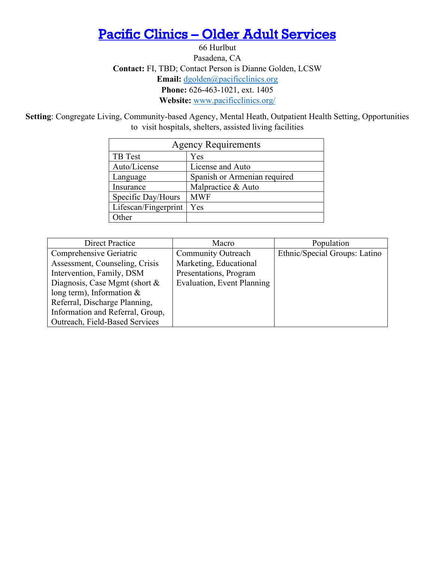### <span id="page-25-0"></span>[Pacific Clinics – Older Adult Services](#page-4-0)

66 Hurlbut Pasadena, CA **Contact:** FI, TBD; Contact Person is Dianne Golden, LCSW **Email:** [dgolden@pacificclinics.org](mailto:dgolden@pacificclinics.org) **Phone:** 626-463-1021, ext. 1405 **Website:** [www.pacificclinics.org/](https://www.pacificclinics.org/)

**Setting**: Congregate Living, Community-based Agency, Mental Heath, Outpatient Health Setting, Opportunities to visit hospitals, shelters, assisted living facilities

| <b>Agency Requirements</b> |                              |  |
|----------------------------|------------------------------|--|
| TB Test                    | Yes                          |  |
| Auto/License               | License and Auto             |  |
| Language                   | Spanish or Armenian required |  |
| Insurance                  | Malpractice & Auto           |  |
| Specific Day/Hours         | <b>MWF</b>                   |  |
| Lifescan/Fingerprint       | Yes                          |  |
| ther                       |                              |  |

| <b>Direct Practice</b>           | Macro                      | Population                    |
|----------------------------------|----------------------------|-------------------------------|
| Comprehensive Geriatric          | <b>Community Outreach</b>  | Ethnic/Special Groups: Latino |
| Assessment, Counseling, Crisis   | Marketing, Educational     |                               |
| Intervention, Family, DSM        | Presentations, Program     |                               |
| Diagnosis, Case Mgmt (short $\&$ | Evaluation, Event Planning |                               |
| long term), Information $&$      |                            |                               |
| Referral, Discharge Planning,    |                            |                               |
| Information and Referral, Group, |                            |                               |
| Outreach, Field-Based Services   |                            |                               |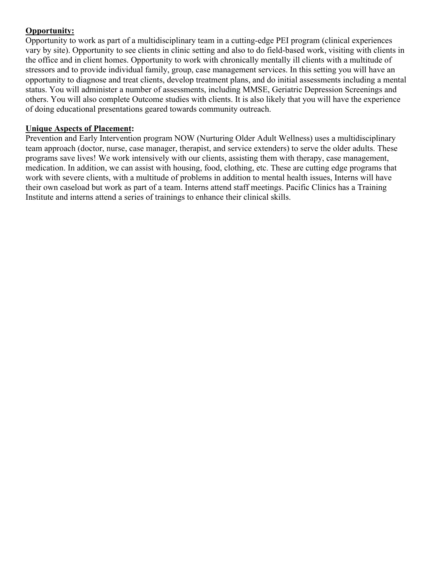Opportunity to work as part of a multidisciplinary team in a cutting-edge PEI program (clinical experiences vary by site). Opportunity to see clients in clinic setting and also to do field-based work, visiting with clients in the office and in client homes. Opportunity to work with chronically mentally ill clients with a multitude of stressors and to provide individual family, group, case management services. In this setting you will have an opportunity to diagnose and treat clients, develop treatment plans, and do initial assessments including a mental status. You will administer a number of assessments, including MMSE, Geriatric Depression Screenings and others. You will also complete Outcome studies with clients. It is also likely that you will have the experience of doing educational presentations geared towards community outreach.

#### **Unique Aspects of Placement:**

Prevention and Early Intervention program NOW (Nurturing Older Adult Wellness) uses a multidisciplinary team approach (doctor, nurse, case manager, therapist, and service extenders) to serve the older adults. These programs save lives! We work intensively with our clients, assisting them with therapy, case management, medication. In addition, we can assist with housing, food, clothing, etc. These are cutting edge programs that work with severe clients, with a multitude of problems in addition to mental health issues, Interns will have their own caseload but work as part of a team. Interns attend staff meetings. Pacific Clinics has a Training Institute and interns attend a series of trainings to enhance their clinical skills.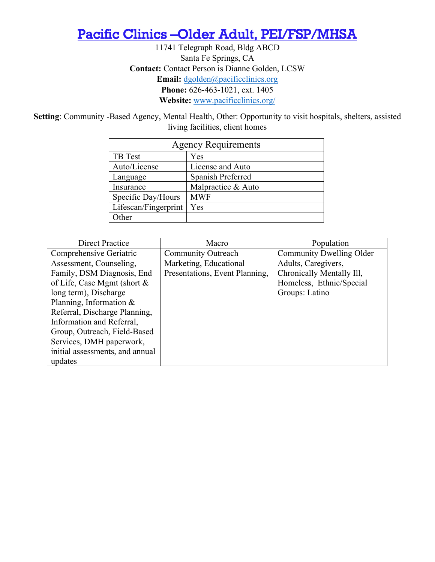### <span id="page-27-0"></span>Pacific Clinics –Older Adult, PEI/FSP/MHSA

11741 Telegraph Road, Bldg ABCD Santa Fe Springs, CA **Contact:** Contact Person is Dianne Golden, LCSW **Email:** [dgolden@pacificclinics.org](mailto:dgolden@pacificclinics.org) **Phone:** 626-463-1021, ext. 1405 **Website:** [www.pacificclinics.org/](https://www.pacificclinics.org/)

**Setting**: Community -Based Agency, Mental Health, Other: Opportunity to visit hospitals, shelters, assisted living facilities, client homes

| <b>Agency Requirements</b>    |                    |  |
|-------------------------------|--------------------|--|
| TB Test                       | Yes                |  |
| Auto/License                  | License and Auto   |  |
| Spanish Preferred<br>Language |                    |  |
| Insurance                     | Malpractice & Auto |  |
| Specific Day/Hours            | <b>MWF</b>         |  |
| Lifescan/Fingerprint          | Yes                |  |
| ther                          |                    |  |

| <b>Direct Practice</b>          | Macro                          | Population                |
|---------------------------------|--------------------------------|---------------------------|
| Comprehensive Geriatric         | <b>Community Outreach</b>      | Community Dwelling Older  |
| Assessment, Counseling,         | Marketing, Educational         | Adults, Caregivers,       |
| Family, DSM Diagnosis, End      | Presentations, Event Planning, | Chronically Mentally Ill, |
| of Life, Case Mgmt (short &     |                                | Homeless, Ethnic/Special  |
| long term), Discharge           |                                | Groups: Latino            |
| Planning, Information $&$       |                                |                           |
| Referral, Discharge Planning,   |                                |                           |
| Information and Referral,       |                                |                           |
| Group, Outreach, Field-Based    |                                |                           |
| Services, DMH paperwork,        |                                |                           |
| initial assessments, and annual |                                |                           |
| updates                         |                                |                           |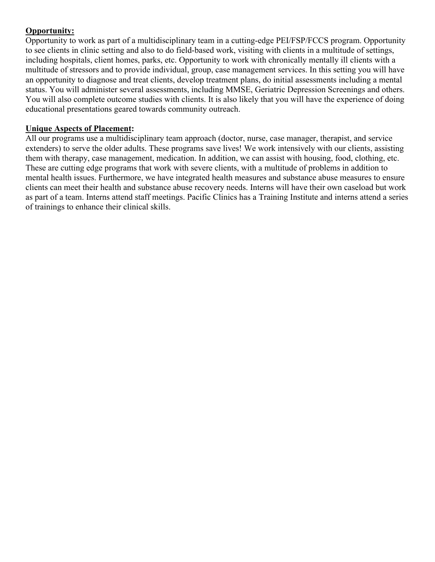Opportunity to work as part of a multidisciplinary team in a cutting-edge PEI/FSP/FCCS program. Opportunity to see clients in clinic setting and also to do field-based work, visiting with clients in a multitude of settings, including hospitals, client homes, parks, etc. Opportunity to work with chronically mentally ill clients with a multitude of stressors and to provide individual, group, case management services. In this setting you will have an opportunity to diagnose and treat clients, develop treatment plans, do initial assessments including a mental status. You will administer several assessments, including MMSE, Geriatric Depression Screenings and others. You will also complete outcome studies with clients. It is also likely that you will have the experience of doing educational presentations geared towards community outreach.

#### **Unique Aspects of Placement:**

All our programs use a multidisciplinary team approach (doctor, nurse, case manager, therapist, and service extenders) to serve the older adults. These programs save lives! We work intensively with our clients, assisting them with therapy, case management, medication. In addition, we can assist with housing, food, clothing, etc. These are cutting edge programs that work with severe clients, with a multitude of problems in addition to mental health issues. Furthermore, we have integrated health measures and substance abuse measures to ensure clients can meet their health and substance abuse recovery needs. Interns will have their own caseload but work as part of a team. Interns attend staff meetings. Pacific Clinics has a Training Institute and interns attend a series of trainings to enhance their clinical skills.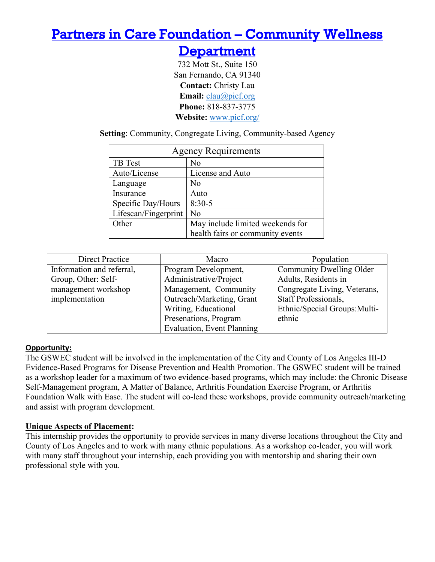### <span id="page-29-0"></span>[Partners in Care Foundation – Community Wellness](#page-4-0)

### **Department**

732 Mott St., Suite 150 San Fernando, CA 91340 **Contact:** Christy Lau **Email:** [clau@picf.org](mailto:clau@picf.org) **Phone:** 818-837-3775 **Website:** [www.picf.org/](https://www.picf.org/)

**Setting**: Community, Congregate Living, Community-based Agency

| <b>Agency Requirements</b> |                                  |  |
|----------------------------|----------------------------------|--|
| TB Test                    | No                               |  |
| Auto/License               | License and Auto                 |  |
| Language                   | No                               |  |
| Insurance                  | Auto                             |  |
| Specific Day/Hours         | $8:30-5$                         |  |
| Lifescan/Fingerprint       | N <sub>o</sub>                   |  |
| Other                      | May include limited weekends for |  |
|                            | health fairs or community events |  |

| <b>Direct Practice</b>    | Macro                             | Population                    |
|---------------------------|-----------------------------------|-------------------------------|
| Information and referral, | Program Development,              | Community Dwelling Older      |
| Group, Other: Self-       | Administrative/Project            | Adults, Residents in          |
| management workshop       | Management, Community             | Congregate Living, Veterans,  |
| implementation            | Outreach/Marketing, Grant         | Staff Professionals,          |
|                           | Writing, Educational              | Ethnic/Special Groups: Multi- |
|                           | Presenations, Program             | ethnic                        |
|                           | <b>Evaluation, Event Planning</b> |                               |

#### **Opportunity:**

The GSWEC student will be involved in the implementation of the City and County of Los Angeles III-D Evidence-Based Programs for Disease Prevention and Health Promotion. The GSWEC student will be trained as a workshop leader for a maximum of two evidence-based programs, which may include: the Chronic Disease Self-Management program, A Matter of Balance, Arthritis Foundation Exercise Program, or Arthritis Foundation Walk with Ease. The student will co-lead these workshops, provide community outreach/marketing and assist with program development.

#### **Unique Aspects of Placement:**

This internship provides the opportunity to provide services in many diverse locations throughout the City and County of Los Angeles and to work with many ethnic populations. As a workshop co-leader, you will work with many staff throughout your internship, each providing you with mentorship and sharing their own professional style with you.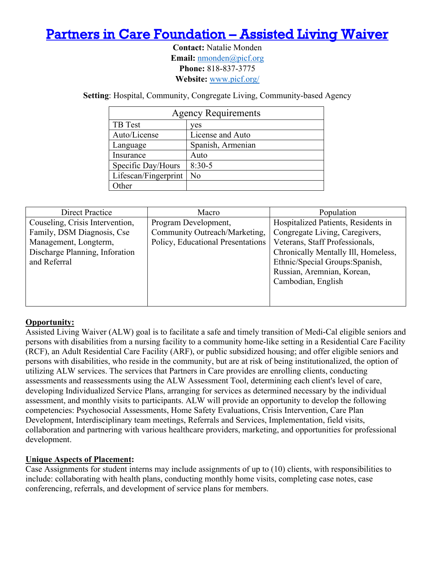### <span id="page-30-0"></span>[Partners in Care Foundation – Assisted Living Waiver](#page-4-0)

**Contact:** Natalie Monden **Email:** [nmonden@picf.org](mailto:nmonden@picf.org) **Phone:** 818-837-3775 **Website:** [www.picf.org/](https://www.picf.org/)

**Setting**: Hospital, Community, Congregate Living, Community-based Agency

| <b>Agency Requirements</b> |                   |  |
|----------------------------|-------------------|--|
| TB Test                    | ves               |  |
| Auto/License               | License and Auto  |  |
| Language                   | Spanish, Armenian |  |
| Insurance                  | Auto              |  |
| Specific Day/Hours         | $8:30-5$          |  |
| Lifescan/Fingerprint       | No                |  |
| Other                      |                   |  |

| Direct Practice                 | Macro                             | Population                          |
|---------------------------------|-----------------------------------|-------------------------------------|
| Couseling, Crisis Intervention, | Program Development,              | Hospitalized Patients, Residents in |
| Family, DSM Diagnosis, Cse      | Community Outreach/Marketing,     | Congregate Living, Caregivers,      |
| Management, Longterm,           | Policy, Educational Presentations | Veterans, Staff Professionals,      |
| Discharge Planning, Inforation  |                                   | Chronically Mentally Ill, Homeless, |
| and Referral                    |                                   | Ethnic/Special Groups: Spanish,     |
|                                 |                                   | Russian, Aremnian, Korean,          |
|                                 |                                   | Cambodian, English                  |
|                                 |                                   |                                     |
|                                 |                                   |                                     |

#### **Opportunity:**

Assisted Living Waiver (ALW) goal is to facilitate a safe and timely transition of Medi-Cal eligible seniors and persons with disabilities from a nursing facility to a community home-like setting in a Residential Care Facility (RCF), an Adult Residential Care Facility (ARF), or public subsidized housing; and offer eligible seniors and persons with disabilities, who reside in the community, but are at risk of being institutionalized, the option of utilizing ALW services. The services that Partners in Care provides are enrolling clients, conducting assessments and reassessments using the ALW Assessment Tool, determining each client's level of care, developing Individualized Service Plans, arranging for services as determined necessary by the individual assessment, and monthly visits to participants. ALW will provide an opportunity to develop the following competencies: Psychosocial Assessments, Home Safety Evaluations, Crisis Intervention, Care Plan Development, Interdisciplinary team meetings, Referrals and Services, Implementation, field visits, collaboration and partnering with various healthcare providers, marketing, and opportunities for professional development.

#### **Unique Aspects of Placement:**

Case Assignments for student interns may include assignments of up to (10) clients, with responsibilities to include: collaborating with health plans, conducting monthly home visits, completing case notes, case conferencing, referrals, and development of service plans for members.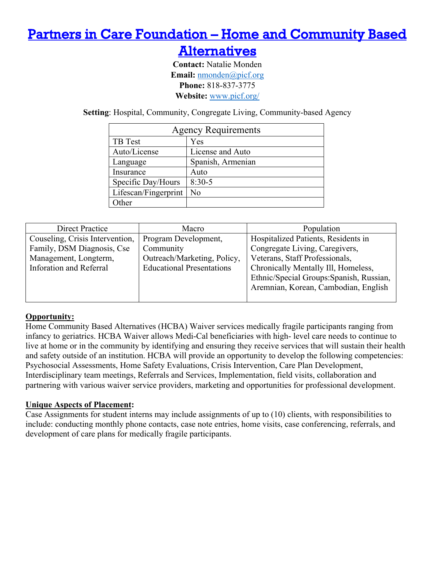### <span id="page-31-0"></span>[Partners in Care Foundation – Home and Community Based](#page-4-0)

### **Alternatives**

**Contact:** Natalie Monden **Email:** [nmonden@picf.org](mailto:nmonden@picf.org) **Phone:** 818-837-3775 **Website:** [www.picf.org/](https://www.picf.org/)

**Setting**: Hospital, Community, Congregate Living, Community-based Agency

| <b>Agency Requirements</b>    |                  |  |
|-------------------------------|------------------|--|
| TB Test<br>Yes                |                  |  |
| Auto/License                  | License and Auto |  |
| Spanish, Armenian<br>Language |                  |  |
| Insurance                     | Auto             |  |
| Specific Day/Hours            | $8:30-5$         |  |
| Lifescan/Fingerprint          | N <sub>o</sub>   |  |
| )ther                         |                  |  |

| Direct Practice                 | Macro                            | Population                               |
|---------------------------------|----------------------------------|------------------------------------------|
| Couseling, Crisis Intervention, | Program Development,             | Hospitalized Patients, Residents in      |
| Family, DSM Diagnosis, Cse      | Community                        | Congregate Living, Caregivers,           |
| Management, Longterm,           | Outreach/Marketing, Policy,      | Veterans, Staff Professionals,           |
| Inforation and Referral         | <b>Educational Presentations</b> | Chronically Mentally III, Homeless,      |
|                                 |                                  | Ethnic/Special Groups: Spanish, Russian, |
|                                 |                                  | Aremnian, Korean, Cambodian, English     |
|                                 |                                  |                                          |

#### **Opportunity:**

Home Community Based Alternatives (HCBA) Waiver services medically fragile participants ranging from infancy to geriatrics. HCBA Waiver allows Medi-Cal beneficiaries with high- level care needs to continue to live at home or in the community by identifying and ensuring they receive services that will sustain their health and safety outside of an institution. HCBA will provide an opportunity to develop the following competencies: Psychosocial Assessments, Home Safety Evaluations, Crisis Intervention, Care Plan Development, Interdisciplinary team meetings, Referrals and Services, Implementation, field visits, collaboration and partnering with various waiver service providers, marketing and opportunities for professional development.

#### **Unique Aspects of Placement:**

Case Assignments for student interns may include assignments of up to (10) clients, with responsibilities to include: conducting monthly phone contacts, case note entries, home visits, case conferencing, referrals, and development of care plans for medically fragile participants.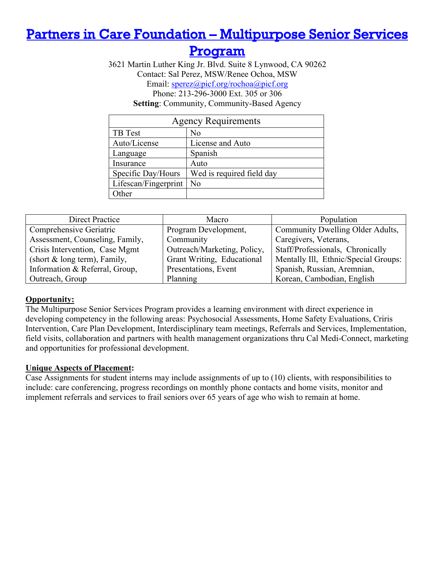### <span id="page-32-0"></span>[Partners in Care Foundation – Multipurpose Senior Services](#page-4-0)

### [Program](#page-4-0)

3621 Martin Luther King Jr. Blvd. Suite 8 Lynwood, CA 90262 Contact: Sal Perez, MSW/Renee Ochoa, MSW Email: [sperez@picf.org/rochoa@picf.org](mailto:sperez@picf.org/rochoa@picf.org) Phone: 213-296-3000 Ext. 305 or 306 **Setting**: Community, Community-Based Agency

| <b>Agency Requirements</b> |                           |  |
|----------------------------|---------------------------|--|
| <b>TB</b> Test             | No                        |  |
| Auto/License               | License and Auto          |  |
| Language                   | Spanish                   |  |
| Insurance                  | Auto                      |  |
| Specific Day/Hours         | Wed is required field day |  |
| Lifescan/Fingerprint       | No                        |  |
| Other                      |                           |  |

| <b>Direct Practice</b>          | Macro                       | Population                           |
|---------------------------------|-----------------------------|--------------------------------------|
| Comprehensive Geriatric         | Program Development,        | Community Dwelling Older Adults,     |
| Assessment, Counseling, Family, | Community                   | Caregivers, Veterans,                |
| Crisis Intervention, Case Mgmt  | Outreach/Marketing, Policy, | Staff/Professionals, Chronically     |
| (short & long term), Family,    | Grant Writing, Educational  | Mentally Ill, Ethnic/Special Groups: |
| Information & Referral, Group,  | Presentations, Event        | Spanish, Russian, Aremnian,          |
| Outreach, Group                 | Planning                    | Korean, Cambodian, English           |

#### **Opportunity:**

The Multipurpose Senior Services Program provides a learning environment with direct experience in developing competency in the following areas: Psychosocial Assessments, Home Safety Evaluations, Criris Intervention, Care Plan Development, Interdisciplinary team meetings, Referrals and Services, Implementation, field visits, collaboration and partners with health management organizations thru Cal Medi-Connect, marketing and opportunities for professional development.

#### **Unique Aspects of Placement:**

Case Assignments for student interns may include assignments of up to (10) clients, with responsibilities to include: care conferencing, progress recordings on monthly phone contacts and home visits, monitor and implement referrals and services to frail seniors over 65 years of age who wish to remain at home.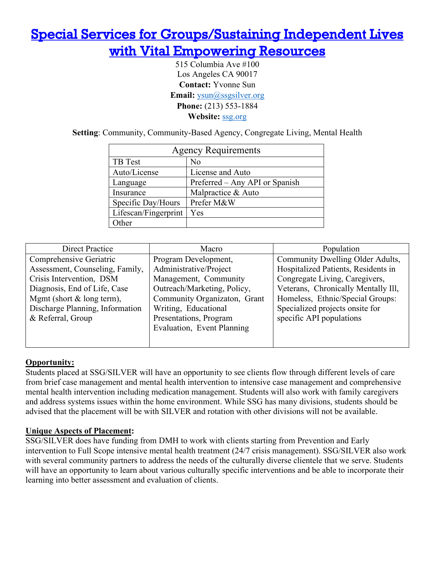## <span id="page-33-0"></span>[Special Services for Groups/Sustaining Independent Lives](#page-4-0)  [with Vital Empowering Resources](#page-4-0)

515 Columbia Ave #100 Los Angeles CA 90017 **Contact:** Yvonne Sun **Email:** [ysun@ssgsilver.org](mailto:ysun@ssgsilver.org) **Phone:** (213) 553-1884 **Website:** [ssg.org](https://www.ssg.org/)

**Setting**: Community, Community-Based Agency, Congregate Living, Mental Health

| <b>Agency Requirements</b> |                                |  |
|----------------------------|--------------------------------|--|
| TB Test                    | No                             |  |
| Auto/License               | License and Auto               |  |
| Language                   | Preferred – Any API or Spanish |  |
| Insurance                  | Malpractice & Auto             |  |
| Specific Day/Hours         | Prefer M&W                     |  |
| Lifescan/Fingerprint       | Yes                            |  |
| ther                       |                                |  |

| Direct Practice                 | Population<br>Macro          |                                     |
|---------------------------------|------------------------------|-------------------------------------|
| Comprehensive Geriatric         | Program Development,         | Community Dwelling Older Adults,    |
| Assessment, Counseling, Family, | Administrative/Project       | Hospitalized Patients, Residents in |
| Crisis Intervention, DSM        | Management, Community        | Congregate Living, Caregivers,      |
| Diagnosis, End of Life, Case    | Outreach/Marketing, Policy,  | Veterans, Chronically Mentally Ill, |
| Mgmt (short & long term),       | Community Organizaton, Grant | Homeless, Ethnic/Special Groups:    |
| Discharge Planning, Information | Writing, Educational         | Specialized projects onsite for     |
| & Referral, Group               | Presentations, Program       | specific API populations            |
|                                 | Evaluation, Event Planning   |                                     |
|                                 |                              |                                     |
|                                 |                              |                                     |

#### **Opportunity:**

Students placed at SSG/SILVER will have an opportunity to see clients flow through different levels of care from brief case management and mental health intervention to intensive case management and comprehensive mental health intervention including medication management. Students will also work with family caregivers and address systems issues within the home environment. While SSG has many divisions, students should be advised that the placement will be with SILVER and rotation with other divisions will not be available.

#### **Unique Aspects of Placement:**

<span id="page-33-1"></span>SSG/SILVER does have funding from DMH to work with clients starting from Prevention and Early intervention to Full Scope intensive mental health treatment (24/7 crisis management). SSG/SILVER also work with several community partners to address the needs of the culturally diverse clientele that we serve. Students will have an opportunity to learn about various culturally specific interventions and be able to incorporate their learning into better assessment and evaluation of clients.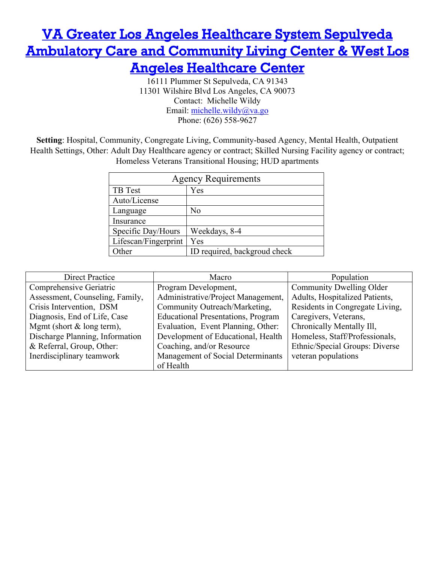### [VA Greater Los Angeles Healthcare System Sepulveda](#page-4-0)  **Ambulatory Care and Community Living Center & West Los** [Angeles Healthcare Center](#page-4-0)

16111 Plummer St Sepulveda, CA 91343 11301 Wilshire Blvd Los Angeles, CA 90073 Contact: Michelle Wildy Email: michelle.wildy@va.go Phone: (626) 558-9627

**Setting**: Hospital, Community, Congregate Living, Community-based Agency, Mental Health, Outpatient Health Settings, Other: Adult Day Healthcare agency or contract; Skilled Nursing Facility agency or contract; Homeless Veterans Transitional Housing; HUD apartments

| <b>Agency Requirements</b> |                              |  |
|----------------------------|------------------------------|--|
| <b>TB</b> Test             | Yes                          |  |
| Auto/License               |                              |  |
| Language                   | No                           |  |
| Insurance                  |                              |  |
| Specific Day/Hours         | Weekdays, 8-4                |  |
| Lifescan/Fingerprint       | Yes                          |  |
| )ther                      | ID required, backgroud check |  |

| Direct Practice                 | Population<br>Macro                                                  |                                 |
|---------------------------------|----------------------------------------------------------------------|---------------------------------|
| Comprehensive Geriatric         | Program Development,                                                 | Community Dwelling Older        |
| Assessment, Counseling, Family, | Administrative/Project Management,<br>Adults, Hospitalized Patients, |                                 |
| Crisis Intervention, DSM        | Community Outreach/Marketing,                                        | Residents in Congregate Living, |
| Diagnosis, End of Life, Case    | <b>Educational Presentations, Program</b>                            | Caregivers, Veterans,           |
| Mgmt (short $&$ long term),     | Evaluation, Event Planning, Other:                                   | Chronically Mentally Ill,       |
| Discharge Planning, Information | Development of Educational, Health                                   | Homeless, Staff/Professionals,  |
| & Referral, Group, Other:       | Coaching, and/or Resource                                            | Ethnic/Special Groups: Diverse  |
| Inerdisciplinary teamwork       | Management of Social Determinants                                    | veteran populations             |
|                                 | of Health                                                            |                                 |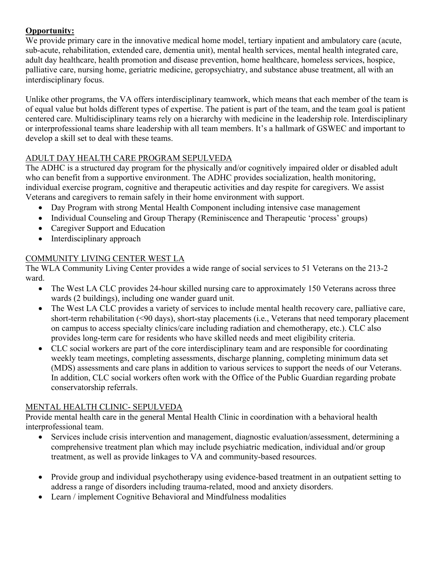We provide primary care in the innovative medical home model, tertiary inpatient and ambulatory care (acute, sub-acute, rehabilitation, extended care, dementia unit), mental health services, mental health integrated care, adult day healthcare, health promotion and disease prevention, home healthcare, homeless services, hospice, palliative care, nursing home, geriatric medicine, geropsychiatry, and substance abuse treatment, all with an interdisciplinary focus.

Unlike other programs, the VA offers interdisciplinary teamwork, which means that each member of the team is of equal value but holds different types of expertise. The patient is part of the team, and the team goal is patient centered care. Multidisciplinary teams rely on a hierarchy with medicine in the leadership role. Interdisciplinary or interprofessional teams share leadership with all team members. It's a hallmark of GSWEC and important to develop a skill set to deal with these teams.

#### ADULT DAY HEALTH CARE PROGRAM SEPULVEDA

The ADHC is a structured day program for the physically and/or cognitively impaired older or disabled adult who can benefit from a supportive environment. The ADHC provides socialization, health monitoring, individual exercise program, cognitive and therapeutic activities and day respite for caregivers. We assist Veterans and caregivers to remain safely in their home environment with support.

- Day Program with strong Mental Health Component including intensive case management
- Individual Counseling and Group Therapy (Reminiscence and Therapeutic 'process' groups)
- Caregiver Support and Education
- Interdisciplinary approach

#### COMMUNITY LIVING CENTER WEST LA

The WLA Community Living Center provides a wide range of social services to 51 Veterans on the 213-2 ward.

- The West LA CLC provides 24-hour skilled nursing care to approximately 150 Veterans across three wards (2 buildings), including one wander guard unit.
- The West LA CLC provides a variety of services to include mental health recovery care, palliative care, short-term rehabilitation (<90 days), short-stay placements (i.e., Veterans that need temporary placement on campus to access specialty clinics/care including radiation and chemotherapy, etc.). CLC also provides long-term care for residents who have skilled needs and meet eligibility criteria.
- CLC social workers are part of the core interdisciplinary team and are responsible for coordinating weekly team meetings, completing assessments, discharge planning, completing minimum data set (MDS) assessments and care plans in addition to various services to support the needs of our Veterans. In addition, CLC social workers often work with the Office of the Public Guardian regarding probate conservatorship referrals.

#### MENTAL HEALTH CLINIC- SEPULVEDA

Provide mental health care in the general Mental Health Clinic in coordination with a behavioral health interprofessional team.

- Services include crisis intervention and management, diagnostic evaluation/assessment, determining a comprehensive treatment plan which may include psychiatric medication, individual and/or group treatment, as well as provide linkages to VA and community-based resources.
- Provide group and individual psychotherapy using evidence-based treatment in an outpatient setting to address a range of disorders including trauma-related, mood and anxiety disorders.
- Learn / implement Cognitive Behavioral and Mindfulness modalities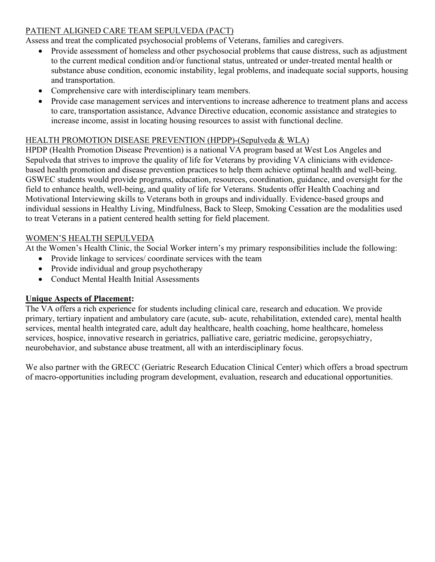#### PATIENT ALIGNED CARE TEAM SEPULVEDA (PACT)

Assess and treat the complicated psychosocial problems of Veterans, families and caregivers.

- Provide assessment of homeless and other psychosocial problems that cause distress, such as adjustment to the current medical condition and/or functional status, untreated or under-treated mental health or substance abuse condition, economic instability, legal problems, and inadequate social supports, housing and transportation.
- Comprehensive care with interdisciplinary team members.
- Provide case management services and interventions to increase adherence to treatment plans and access to care, transportation assistance, Advance Directive education, economic assistance and strategies to increase income, assist in locating housing resources to assist with functional decline.

#### HEALTH PROMOTION DISEASE PREVENTION (HPDP)-(Sepulveda & WLA)

HPDP (Health Promotion Disease Prevention) is a national VA program based at West Los Angeles and Sepulveda that strives to improve the quality of life for Veterans by providing VA clinicians with evidencebased health promotion and disease prevention practices to help them achieve optimal health and well-being. GSWEC students would provide programs, education, resources, coordination, guidance, and oversight for the field to enhance health, well-being, and quality of life for Veterans. Students offer Health Coaching and Motivational Interviewing skills to Veterans both in groups and individually. Evidence-based groups and individual sessions in Healthy Living, Mindfulness, Back to Sleep, Smoking Cessation are the modalities used to treat Veterans in a patient centered health setting for field placement.

#### WOMEN'S HEALTH SEPULVEDA

At the Women's Health Clinic, the Social Worker intern's my primary responsibilities include the following:

- Provide linkage to services/ coordinate services with the team
- Provide individual and group psychotherapy
- Conduct Mental Health Initial Assessments

#### **Unique Aspects of Placement:**

The VA offers a rich experience for students including clinical care, research and education. We provide primary, tertiary inpatient and ambulatory care (acute, sub- acute, rehabilitation, extended care), mental health services, mental health integrated care, adult day healthcare, health coaching, home healthcare, homeless services, hospice, innovative research in geriatrics, palliative care, geriatric medicine, geropsychiatry, neurobehavior, and substance abuse treatment, all with an interdisciplinary focus.

We also partner with the GRECC (Geriatric Research Education Clinical Center) which offers a broad spectrum of macro-opportunities including program development, evaluation, research and educational opportunities.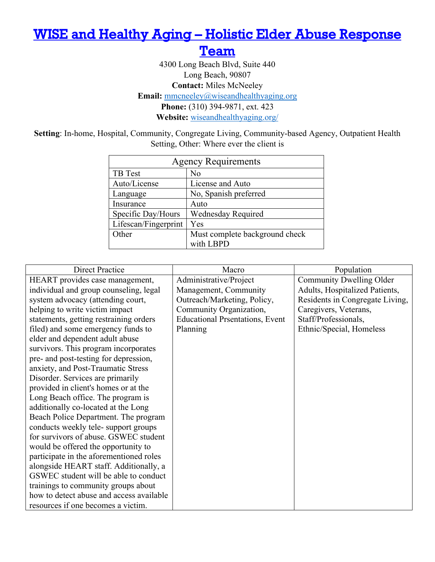### <span id="page-37-0"></span>[WISE and Healthy Aging – Holistic Elder Abuse Response](#page-4-0)

**Team** 

4300 Long Beach Blvd, Suite 440 Long Beach, 90807 **Contact:** Miles McNeeley **Email:** [mmcneeley@wiseandhealthyaging.org](mailto:mmcneeley@wiseandhealthyaging.org) **Phone:** (310) 394-9871, ext. 423 **Website:** [wiseandhealthyaging.org/](https://www.wiseandhealthyaging.org/)

**Setting**: In-home, Hospital, Community, Congregate Living, Community-based Agency, Outpatient Health Setting, Other: Where ever the client is

| <b>Agency Requirements</b> |                                |  |
|----------------------------|--------------------------------|--|
| TB Test                    | No                             |  |
| Auto/License               | License and Auto               |  |
| Language                   | No, Spanish preferred          |  |
| Insurance                  | Auto                           |  |
| Specific Day/Hours         | <b>Wednesday Required</b>      |  |
| Lifescan/Fingerprint       | Yes                            |  |
| Other                      | Must complete background check |  |
|                            | with LBPD                      |  |

| <b>Direct Practice</b>                   | Macro                                  | Population                      |
|------------------------------------------|----------------------------------------|---------------------------------|
| HEART provides case management,          | Administrative/Project                 | Community Dwelling Older        |
| individual and group counseling, legal   | Management, Community                  | Adults, Hospitalized Patients,  |
| system advocacy (attending court,        | Outreach/Marketing, Policy,            | Residents in Congregate Living, |
| helping to write victim impact           | Community Organization,                | Caregivers, Veterans,           |
| statements, getting restraining orders   | <b>Educational Prsentations, Event</b> | Staff/Professionals,            |
| filed) and some emergency funds to       | Planning                               | Ethnic/Special, Homeless        |
| elder and dependent adult abuse          |                                        |                                 |
| survivors. This program incorporates     |                                        |                                 |
| pre- and post-testing for depression,    |                                        |                                 |
| anxiety, and Post-Traumatic Stress       |                                        |                                 |
| Disorder. Services are primarily         |                                        |                                 |
| provided in client's homes or at the     |                                        |                                 |
| Long Beach office. The program is        |                                        |                                 |
| additionally co-located at the Long      |                                        |                                 |
| Beach Police Department. The program     |                                        |                                 |
| conducts weekly tele-support groups      |                                        |                                 |
| for survivors of abuse. GSWEC student    |                                        |                                 |
| would be offered the opportunity to      |                                        |                                 |
| participate in the aforementioned roles  |                                        |                                 |
| alongside HEART staff. Additionally, a   |                                        |                                 |
| GSWEC student will be able to conduct    |                                        |                                 |
| trainings to community groups about      |                                        |                                 |
| how to detect abuse and access available |                                        |                                 |
| resources if one becomes a victim.       |                                        |                                 |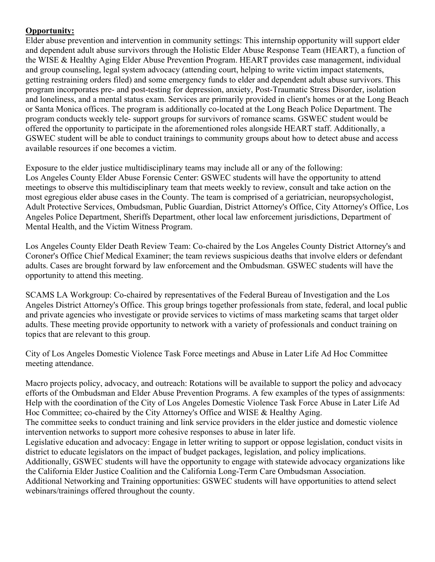Elder abuse prevention and intervention in community settings: This internship opportunity will support elder and dependent adult abuse survivors through the Holistic Elder Abuse Response Team (HEART), a function of the WISE & Healthy Aging Elder Abuse Prevention Program. HEART provides case management, individual and group counseling, legal system advocacy (attending court, helping to write victim impact statements, getting restraining orders filed) and some emergency funds to elder and dependent adult abuse survivors. This program incorporates pre- and post-testing for depression, anxiety, Post-Traumatic Stress Disorder, isolation and loneliness, and a mental status exam. Services are primarily provided in client's homes or at the Long Beach or Santa Monica offices. The program is additionally co-located at the Long Beach Police Department. The program conducts weekly tele- support groups for survivors of romance scams. GSWEC student would be offered the opportunity to participate in the aforementioned roles alongside HEART staff. Additionally, a GSWEC student will be able to conduct trainings to community groups about how to detect abuse and access available resources if one becomes a victim.

Exposure to the elder justice multidisciplinary teams may include all or any of the following: Los Angeles County Elder Abuse Forensic Center: GSWEC students will have the opportunity to attend meetings to observe this multidisciplinary team that meets weekly to review, consult and take action on the most egregious elder abuse cases in the County. The team is comprised of a geriatrician, neuropsychologist, Adult Protective Services, Ombudsman, Public Guardian, District Attorney's Office, City Attorney's Office, Los Angeles Police Department, Sheriffs Department, other local law enforcement jurisdictions, Department of Mental Health, and the Victim Witness Program.

Los Angeles County Elder Death Review Team: Co-chaired by the Los Angeles County District Attorney's and Coroner's Office Chief Medical Examiner; the team reviews suspicious deaths that involve elders or defendant adults. Cases are brought forward by law enforcement and the Ombudsman. GSWEC students will have the opportunity to attend this meeting.

SCAMS LA Workgroup: Co-chaired by representatives of the Federal Bureau of Investigation and the Los Angeles District Attorney's Office. This group brings together professionals from state, federal, and local public and private agencies who investigate or provide services to victims of mass marketing scams that target older adults. These meeting provide opportunity to network with a variety of professionals and conduct training on topics that are relevant to this group.

City of Los Angeles Domestic Violence Task Force meetings and Abuse in Later Life Ad Hoc Committee meeting attendance.

Macro projects policy, advocacy, and outreach: Rotations will be available to support the policy and advocacy efforts of the Ombudsman and Elder Abuse Prevention Programs. A few examples of the types of assignments: Help with the coordination of the City of Los Angeles Domestic Violence Task Force Abuse in Later Life Ad Hoc Committee; co-chaired by the City Attorney's Office and WISE & Healthy Aging.

The committee seeks to conduct training and link service providers in the elder justice and domestic violence intervention networks to support more cohesive responses to abuse in later life.

Legislative education and advocacy: Engage in letter writing to support or oppose legislation, conduct visits in district to educate legislators on the impact of budget packages, legislation, and policy implications.

Additionally, GSWEC students will have the opportunity to engage with statewide advocacy organizations like the California Elder Justice Coalition and the California Long-Term Care Ombudsman Association.

Additional Networking and Training opportunities: GSWEC students will have opportunities to attend select webinars/trainings offered throughout the county.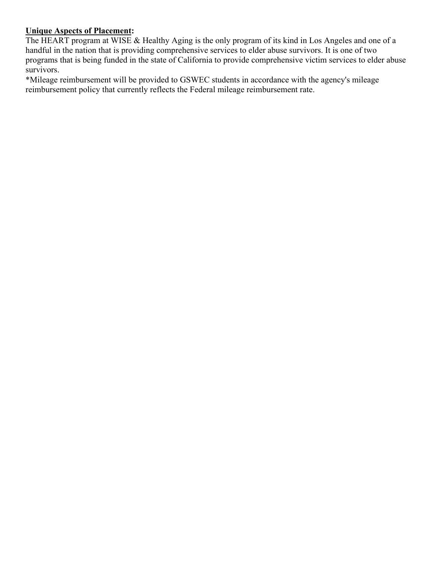#### **Unique Aspects of Placement:**

The HEART program at WISE & Healthy Aging is the only program of its kind in Los Angeles and one of a handful in the nation that is providing comprehensive services to elder abuse survivors. It is one of two programs that is being funded in the state of California to provide comprehensive victim services to elder abuse survivors.

\*Mileage reimbursement will be provided to GSWEC students in accordance with the agency's mileage reimbursement policy that currently reflects the Federal mileage reimbursement rate.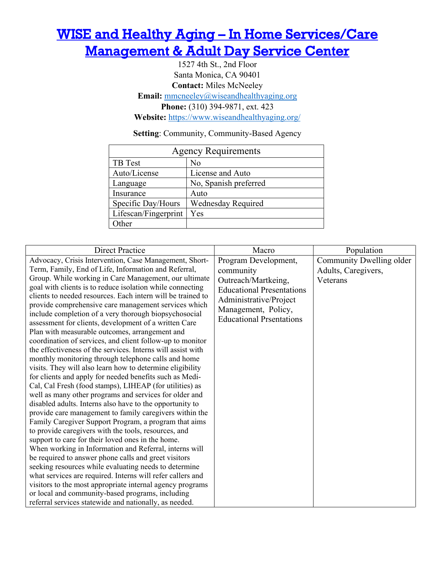## <span id="page-40-0"></span>[WISE and Healthy Aging – In Home Services/Care](#page-4-0)  **Management & Adult Day Service Center**

1527 4th St., 2nd Floor Santa Monica, CA 90401 **Contact:** Miles McNeeley **Email:** [mmcneeley@wiseandhealthyaging.org](mailto:mmcneeley@wiseandhealthyaging.org) **Phone:** (310) 394-9871, ext. 423 **Website:** <https://www.wiseandhealthyaging.org/>

**Setting**: Community, Community-Based Agency

| <b>Agency Requirements</b> |                           |  |
|----------------------------|---------------------------|--|
| <b>TB</b> Test             | No                        |  |
| Auto/License               | License and Auto          |  |
| Language                   | No, Spanish preferred     |  |
| Insurance                  | Auto                      |  |
| Specific Day/Hours         | <b>Wednesday Required</b> |  |
| Lifescan/Fingerprint       | Yes                       |  |
| )ther                      |                           |  |

| <b>Direct Practice</b>                                                                                                                                                                                                                                                                                                                                                                                                                                                                                                                                                                                                                                                                                                                                                                                                                                                                                                                                                                                                                                                                                                                                                                                                                                                                                                                                                                                                                                                                                                                                                                                                                                                           | Macro                                                                                                                                                                            | Population                                                  |
|----------------------------------------------------------------------------------------------------------------------------------------------------------------------------------------------------------------------------------------------------------------------------------------------------------------------------------------------------------------------------------------------------------------------------------------------------------------------------------------------------------------------------------------------------------------------------------------------------------------------------------------------------------------------------------------------------------------------------------------------------------------------------------------------------------------------------------------------------------------------------------------------------------------------------------------------------------------------------------------------------------------------------------------------------------------------------------------------------------------------------------------------------------------------------------------------------------------------------------------------------------------------------------------------------------------------------------------------------------------------------------------------------------------------------------------------------------------------------------------------------------------------------------------------------------------------------------------------------------------------------------------------------------------------------------|----------------------------------------------------------------------------------------------------------------------------------------------------------------------------------|-------------------------------------------------------------|
| Advocacy, Crisis Intervention, Case Management, Short-<br>Term, Family, End of Life, Information and Referral,<br>Group. While working in Care Management, our ultimate<br>goal with clients is to reduce isolation while connecting<br>clients to needed resources. Each intern will be trained to<br>provide comprehensive care management services which<br>include completion of a very thorough biopsychosocial<br>assessment for clients, development of a written Care<br>Plan with measurable outcomes, arrangement and<br>coordination of services, and client follow-up to monitor<br>the effectiveness of the services. Interns will assist with<br>monthly monitoring through telephone calls and home<br>visits. They will also learn how to determine eligibility<br>for clients and apply for needed benefits such as Medi-<br>Cal, Cal Fresh (food stamps), LIHEAP (for utilities) as<br>well as many other programs and services for older and<br>disabled adults. Interns also have to the opportunity to<br>provide care management to family caregivers within the<br>Family Caregiver Support Program, a program that aims<br>to provide caregivers with the tools, resources, and<br>support to care for their loved ones in the home.<br>When working in Information and Referral, interns will<br>be required to answer phone calls and greet visitors<br>seeking resources while evaluating needs to determine<br>what services are required. Interns will refer callers and<br>visitors to the most appropriate internal agency programs<br>or local and community-based programs, including<br>referral services statewide and nationally, as needed. | Program Development,<br>community<br>Outreach/Martkeing,<br><b>Educational Presentations</b><br>Administrative/Project<br>Management, Policy,<br><b>Educational Prsentations</b> | Community Dwelling older<br>Adults, Caregivers,<br>Veterans |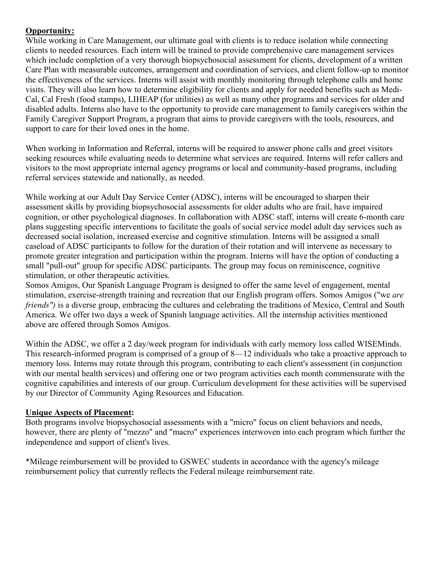While working in Care Management, our ultimate goal with clients is to reduce isolation while connecting clients to needed resources. Each intern will be trained to provide comprehensive care management services which include completion of a very thorough biopsychosocial assessment for clients, development of a written Care Plan with measurable outcomes, arrangement and coordination of services, and client follow-up to monitor the effectiveness of the services. Interns will assist with monthly monitoring through telephone calls and home visits. They will also learn how to determine eligibility for clients and apply for needed benefits such as Medi-Cal, Cal Fresh (food stamps), LIHEAP (for utilities) as well as many other programs and services for older and disabled adults. Interns also have to the opportunity to provide care management to family caregivers within the Family Caregiver Support Program, a program that aims to provide caregivers with the tools, resources, and support to care for their loved ones in the home.

When working in Information and Referral, interns will be required to answer phone calls and greet visitors seeking resources while evaluating needs to determine what services are required. Interns will refer callers and visitors to the most appropriate internal agency programs or local and community-based programs, including referral services statewide and nationally, as needed.

While working at our Adult Day Service Center (ADSC), interns will be encouraged to sharpen their assessment skills by providing biopsychosocial assessments for older adults who are frail, have impaired cognition, or other psychological diagnoses. In collaboration with ADSC staff, interns will create 6-month care plans suggesting specific interventions to facilitate the goals of social service model adult day services such as decreased social isolation, increased exercise and cognitive stimulation. Interns will be assigned a small caseload of ADSC participants to follow for the duration of their rotation and will intervene as necessary to promote greater integration and participation within the program. Interns will have the option of conducting a small "pull-out" group for specific ADSC participants. The group may focus on reminiscence, cognitive stimulation, or other therapeutic activities.

Somos Amigos, Our Spanish Language Program is designed to offer the same level of engagement, mental stimulation, exercise-strength training and recreation that our English program offers. Somos Amigos ("we *are friends"*) is a diverse group, embracing the cultures and celebrating the traditions of Mexico, Central and South America. We offer two days a week of Spanish language activities. All the internship activities mentioned above are offered through Somos Amigos.

Within the ADSC, we offer a 2 day/week program for individuals with early memory loss called WISEMinds. This research-informed program is comprised of a group of 8—12 individuals who take a proactive approach to memory loss. Interns may rotate through this program, contributing to each client's assessment (in conjunction with our mental health services) and offering one or two program activities each month commensurate with the cognitive capabilities and interests of our group. Curriculum development for these activities will be supervised by our Director of Community Aging Resources and Education.

#### **Unique Aspects of Placement:**

Both programs involve biopsychosocial assessments with a "micro" focus on client behaviors and needs, however, there are plenty of "mezzo" and "macro" experiences interwoven into each program which further the independence and support of client's lives.

\*Mileage reimbursement will be provided to GSWEC students in accordance with the agency's mileage reimbursement policy that currently reflects the Federal mileage reimbursement rate.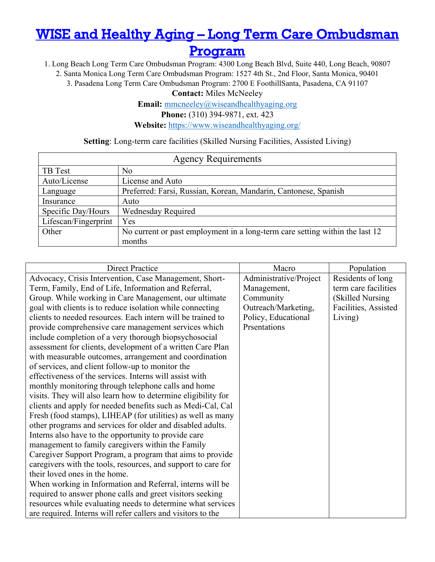# <span id="page-42-0"></span>[WISE and Healthy Aging – Long Term Care Ombudsman](#page-4-0)

[Program](#page-4-0) 

1. Long Beach Long Term Care Ombudsman Program: 4300 Long Beach Blvd, Suite 440, Long Beach, 90807

2. Santa Monica Long Term Care Ombudsman Program: 1527 4th St., 2nd Floor, Santa Monica, 90401

3. Pasadena Long Term Care Ombudsman Program: 2700 E FoothillSanta, Pasadena, CA 91107

**Contact:** Miles McNeeley

**Email:** [mmcneeley@wiseandhealthyaging.org](mailto:mmcneeley@wiseandhealthyaging.org)

**Phone:** (310) 394-9871, ext. 423

**Website:** <https://www.wiseandhealthyaging.org/>

#### **Setting**: Long-term care facilities (Skilled Nursing Facilities, Assisted Living)

| <b>Agency Requirements</b> |                                                                              |  |
|----------------------------|------------------------------------------------------------------------------|--|
| <b>TB</b> Test             | No                                                                           |  |
| Auto/License               | License and Auto                                                             |  |
| Language                   | Preferred: Farsi, Russian, Korean, Mandarin, Cantonese, Spanish              |  |
| Insurance                  | Auto                                                                         |  |
| Specific Day/Hours         | Wednesday Required                                                           |  |
| Lifescan/Fingerprint       | Yes                                                                          |  |
| Other                      | No current or past employment in a long-term care setting within the last 12 |  |
|                            | months                                                                       |  |

| <b>Direct Practice</b>                                        | Macro                  | Population           |
|---------------------------------------------------------------|------------------------|----------------------|
| Advocacy, Crisis Intervention, Case Management, Short-        | Administrative/Project | Residents of long    |
| Term, Family, End of Life, Information and Referral,          | Management,            | term care facilities |
| Group. While working in Care Management, our ultimate         | Community              | (Skilled Nursing     |
| goal with clients is to reduce isolation while connecting     | Outreach/Marketing,    | Facilities, Assisted |
| clients to needed resources. Each intern will be trained to   | Policy, Educational    | Living)              |
| provide comprehensive care management services which          | Prsentations           |                      |
| include completion of a very thorough biopsychosocial         |                        |                      |
| assessment for clients, development of a written Care Plan    |                        |                      |
| with measurable outcomes, arrangement and coordination        |                        |                      |
| of services, and client follow-up to monitor the              |                        |                      |
| effectiveness of the services. Interns will assist with       |                        |                      |
| monthly monitoring through telephone calls and home           |                        |                      |
| visits. They will also learn how to determine eligibility for |                        |                      |
| clients and apply for needed benefits such as Medi-Cal, Cal   |                        |                      |
| Fresh (food stamps), LIHEAP (for utilities) as well as many   |                        |                      |
| other programs and services for older and disabled adults.    |                        |                      |
| Interns also have to the opportunity to provide care          |                        |                      |
| management to family caregivers within the Family             |                        |                      |
| Caregiver Support Program, a program that aims to provide     |                        |                      |
| caregivers with the tools, resources, and support to care for |                        |                      |
| their loved ones in the home.                                 |                        |                      |
| When working in Information and Referral, interns will be     |                        |                      |
| required to answer phone calls and greet visitors seeking     |                        |                      |
| resources while evaluating needs to determine what services   |                        |                      |
| are required. Interns will refer callers and visitors to the  |                        |                      |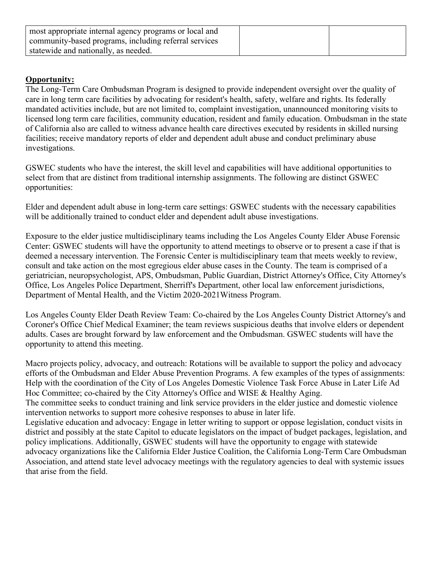| most appropriate internal agency programs or local and |  |
|--------------------------------------------------------|--|
| community-based programs, including referral services  |  |
| statewide and nationally, as needed.                   |  |

The Long-Term Care Ombudsman Program is designed to provide independent oversight over the quality of care in long term care facilities by advocating for resident's health, safety, welfare and rights. Its federally mandated activities include, but are not limited to, complaint investigation, unannounced monitoring visits to licensed long term care facilities, community education, resident and family education. Ombudsman in the state of California also are called to witness advance health care directives executed by residents in skilled nursing facilities; receive mandatory reports of elder and dependent adult abuse and conduct preliminary abuse investigations.

GSWEC students who have the interest, the skill level and capabilities will have additional opportunities to select from that are distinct from traditional internship assignments. The following are distinct GSWEC opportunities:

Elder and dependent adult abuse in long-term care settings: GSWEC students with the necessary capabilities will be additionally trained to conduct elder and dependent adult abuse investigations.

Exposure to the elder justice multidisciplinary teams including the Los Angeles County Elder Abuse Forensic Center: GSWEC students will have the opportunity to attend meetings to observe or to present a case if that is deemed a necessary intervention. The Forensic Center is multidisciplinary team that meets weekly to review, consult and take action on the most egregious elder abuse cases in the County. The team is comprised of a geriatrician, neuropsychologist, APS, Ombudsman, Public Guardian, District Attorney's Office, City Attorney's Office, Los Angeles Police Department, Sherriff's Department, other local law enforcement jurisdictions, Department of Mental Health, and the Victim 2020-2021Witness Program.

Los Angeles County Elder Death Review Team: Co-chaired by the Los Angeles County District Attorney's and Coroner's Office Chief Medical Examiner; the team reviews suspicious deaths that involve elders or dependent adults. Cases are brought forward by law enforcement and the Ombudsman. GSWEC students will have the opportunity to attend this meeting.

Macro projects policy, advocacy, and outreach: Rotations will be available to support the policy and advocacy efforts of the Ombudsman and Elder Abuse Prevention Programs. A few examples of the types of assignments: Help with the coordination of the City of Los Angeles Domestic Violence Task Force Abuse in Later Life Ad Hoc Committee; co-chaired by the City Attorney's Office and WISE & Healthy Aging.

The committee seeks to conduct training and link service providers in the elder justice and domestic violence intervention networks to support more cohesive responses to abuse in later life.

Legislative education and advocacy: Engage in letter writing to support or oppose legislation, conduct visits in district and possibly at the state Capitol to educate legislators on the impact of budget packages, legislation, and policy implications. Additionally, GSWEC students will have the opportunity to engage with statewide advocacy organizations like the California Elder Justice Coalition, the California Long-Term Care Ombudsman Association, and attend state level advocacy meetings with the regulatory agencies to deal with systemic issues that arise from the field.